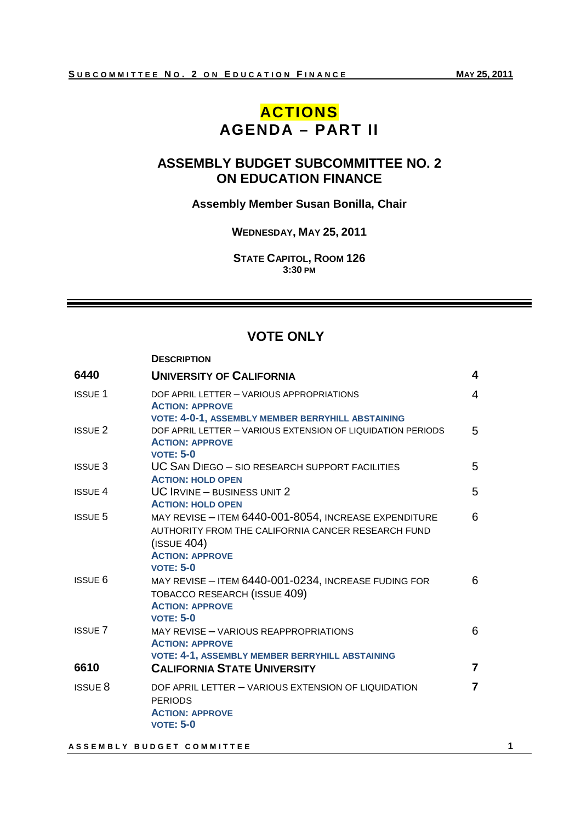# **ACTIONS AGENDA – PART II**

### **ASSEMBLY BUDGET SUBCOMMITTEE NO. 2 ON EDUCATION FINANCE**

#### **Assembly Member Susan Bonilla, Chair**

#### **WEDNESDAY, MAY 25, 2011**

**STATE CAPITOL, ROOM 126 3:30 PM**

#### **VOTE ONLY**

|                | <b>DESCRIPTION</b>                                                                                                                                                             |                         |
|----------------|--------------------------------------------------------------------------------------------------------------------------------------------------------------------------------|-------------------------|
| 6440           | <b>UNIVERSITY OF CALIFORNIA</b>                                                                                                                                                | 4                       |
| <b>ISSUE 1</b> | DOF APRIL LETTER - VARIOUS APPROPRIATIONS<br><b>ACTION: APPROVE</b><br>VOTE: 4-0-1, ASSEMBLY MEMBER BERRYHILL ABSTAINING                                                       | $\overline{\mathbf{4}}$ |
| <b>ISSUE 2</b> | DOF APRIL LETTER - VARIOUS EXTENSION OF LIQUIDATION PERIODS<br><b>ACTION: APPROVE</b><br><b>VOTE: 5-0</b>                                                                      | 5                       |
| <b>ISSUE 3</b> | UC SAN DIEGO - SIO RESEARCH SUPPORT FACILITIES<br><b>ACTION: HOLD OPEN</b>                                                                                                     | 5                       |
| <b>ISSUE 4</b> | UC IRVINE - BUSINESS UNIT 2<br><b>ACTION: HOLD OPEN</b>                                                                                                                        | 5                       |
| <b>ISSUE 5</b> | MAY REVISE - ITEM 6440-001-8054, INCREASE EXPENDITURE<br>AUTHORITY FROM THE CALIFORNIA CANCER RESEARCH FUND<br>$($ ISSUE 404 $)$<br><b>ACTION: APPROVE</b><br><b>VOTE: 5-0</b> | 6                       |
| <b>ISSUE 6</b> | MAY REVISE - ITEM 6440-001-0234, INCREASE FUDING FOR<br>TOBACCO RESEARCH (ISSUE 409)<br><b>ACTION: APPROVE</b><br><b>VOTE: 5-0</b>                                             | 6                       |
| <b>ISSUE 7</b> | MAY REVISE - VARIOUS REAPPROPRIATIONS<br><b>ACTION: APPROVE</b><br><b>VOTE: 4-1, ASSEMBLY MEMBER BERRYHILL ABSTAINING</b>                                                      | 6                       |
| 6610           | <b>CALIFORNIA STATE UNIVERSITY</b>                                                                                                                                             | $\overline{\mathbf{z}}$ |
| <b>ISSUE 8</b> | DOF APRIL LETTER - VARIOUS EXTENSION OF LIQUIDATION<br><b>PERIODS</b><br><b>ACTION: APPROVE</b><br><b>VOTE: 5-0</b>                                                            | 7                       |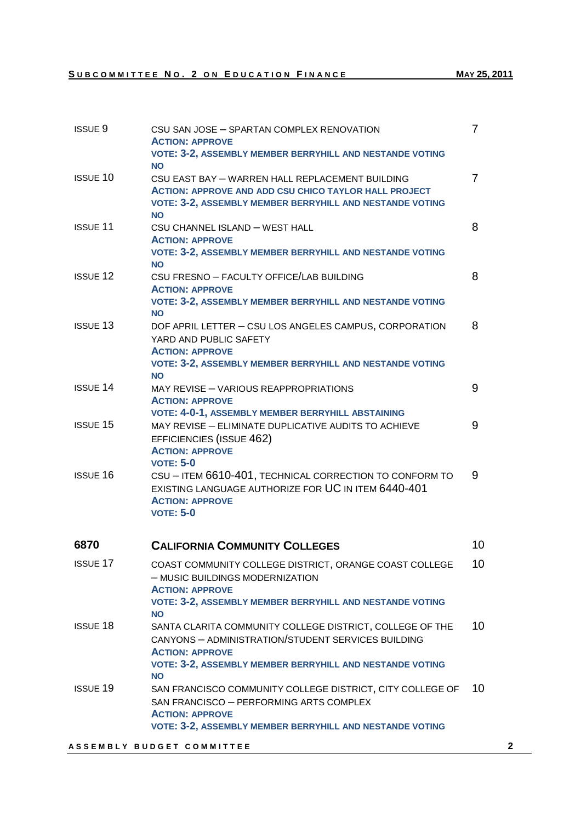| <b>ISSUE 9</b>  | CSU SAN JOSE - SPARTAN COMPLEX RENOVATION<br><b>ACTION: APPROVE</b><br>VOTE: 3-2, ASSEMBLY MEMBER BERRYHILL AND NESTANDE VOTING<br><b>NO</b>                                                                             | $\overline{7}$ |              |
|-----------------|--------------------------------------------------------------------------------------------------------------------------------------------------------------------------------------------------------------------------|----------------|--------------|
| <b>ISSUE 10</b> | CSU EAST BAY - WARREN HALL REPLACEMENT BUILDING<br><b>ACTION: APPROVE AND ADD CSU CHICO TAYLOR HALL PROJECT</b><br>VOTE: 3-2, ASSEMBLY MEMBER BERRYHILL AND NESTANDE VOTING<br><b>NO</b>                                 | $\overline{7}$ |              |
| <b>ISSUE 11</b> | CSU CHANNEL ISLAND - WEST HALL<br><b>ACTION: APPROVE</b><br><b>VOTE: 3-2, ASSEMBLY MEMBER BERRYHILL AND NESTANDE VOTING</b><br><b>NO</b>                                                                                 | 8              |              |
| <b>ISSUE 12</b> | CSU FRESNO - FACULTY OFFICE/LAB BUILDING<br><b>ACTION: APPROVE</b><br>VOTE: 3-2, ASSEMBLY MEMBER BERRYHILL AND NESTANDE VOTING<br><b>NO</b>                                                                              | 8              |              |
| <b>ISSUE 13</b> | DOF APRIL LETTER - CSU LOS ANGELES CAMPUS, CORPORATION<br>YARD AND PUBLIC SAFETY<br><b>ACTION: APPROVE</b><br>VOTE: 3-2, ASSEMBLY MEMBER BERRYHILL AND NESTANDE VOTING<br><b>NO</b>                                      | 8              |              |
| <b>ISSUE 14</b> | MAY REVISE - VARIOUS REAPPROPRIATIONS<br><b>ACTION: APPROVE</b><br>VOTE: 4-0-1, ASSEMBLY MEMBER BERRYHILL ABSTAINING                                                                                                     | 9              |              |
| <b>ISSUE 15</b> | MAY REVISE - ELIMINATE DUPLICATIVE AUDITS TO ACHIEVE<br>EFFICIENCIES (ISSUE 462)<br><b>ACTION: APPROVE</b><br><b>VOTE: 5-0</b>                                                                                           | 9              |              |
| <b>ISSUE 16</b> | CSU - ITEM 6610-401, TECHNICAL CORRECTION TO CONFORM TO<br>EXISTING LANGUAGE AUTHORIZE FOR UC IN ITEM 6440-401<br><b>ACTION: APPROVE</b><br><b>VOTE: 5-0</b>                                                             | 9              |              |
| 6870            | <b>CALIFORNIA COMMUNITY COLLEGES</b>                                                                                                                                                                                     | 10             |              |
| <b>ISSUE 17</b> | COAST COMMUNITY COLLEGE DISTRICT, ORANGE COAST COLLEGE<br>- MUSIC BUILDINGS MODERNIZATION<br><b>ACTION: APPROVE</b><br>VOTE: 3-2, ASSEMBLY MEMBER BERRYHILL AND NESTANDE VOTING<br><b>NO</b>                             | 10             |              |
| <b>ISSUE 18</b> | SANTA CLARITA COMMUNITY COLLEGE DISTRICT, COLLEGE OF THE<br>CANYONS - ADMINISTRATION/STUDENT SERVICES BUILDING<br><b>ACTION: APPROVE</b><br><b>VOTE: 3-2, ASSEMBLY MEMBER BERRYHILL AND NESTANDE VOTING</b><br><b>NO</b> | 10             |              |
| <b>ISSUE 19</b> | SAN FRANCISCO COMMUNITY COLLEGE DISTRICT, CITY COLLEGE OF<br>SAN FRANCISCO - PERFORMING ARTS COMPLEX<br><b>ACTION: APPROVE</b><br>VOTE: 3-2, ASSEMBLY MEMBER BERRYHILL AND NESTANDE VOTING                               | 10             |              |
|                 | ASSEMBLY BUDGET COMMITTEE                                                                                                                                                                                                |                | $\mathbf{2}$ |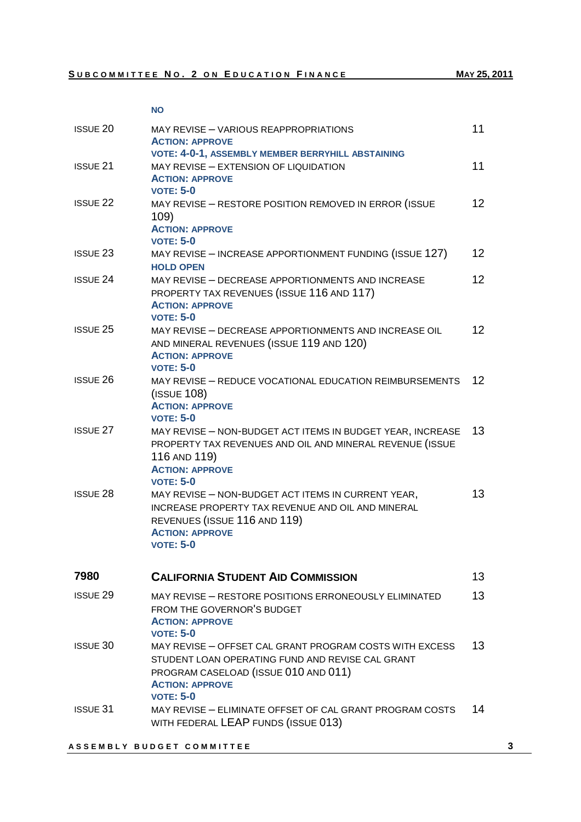| <b>ISSUE 20</b> | MAY REVISE - VARIOUS REAPPROPRIATIONS<br><b>ACTION: APPROVE</b>                                                                                                                                   | 11              |
|-----------------|---------------------------------------------------------------------------------------------------------------------------------------------------------------------------------------------------|-----------------|
| <b>ISSUE 21</b> | VOTE: 4-0-1, ASSEMBLY MEMBER BERRYHILL ABSTAINING<br>MAY REVISE - EXTENSION OF LIQUIDATION<br><b>ACTION: APPROVE</b><br><b>VOTE: 5-0</b>                                                          | 11              |
| <b>ISSUE 22</b> | MAY REVISE - RESTORE POSITION REMOVED IN ERROR (ISSUE<br>109)<br><b>ACTION: APPROVE</b><br><b>VOTE: 5-0</b>                                                                                       | 12 <sup>2</sup> |
| <b>ISSUE 23</b> | MAY REVISE - INCREASE APPORTIONMENT FUNDING (ISSUE 127)<br><b>HOLD OPEN</b>                                                                                                                       | 12 <sup>°</sup> |
| <b>ISSUE 24</b> | MAY REVISE - DECREASE APPORTIONMENTS AND INCREASE<br>PROPERTY TAX REVENUES (ISSUE 116 AND 117)<br><b>ACTION: APPROVE</b><br><b>VOTE: 5-0</b>                                                      | 12 <sup>°</sup> |
| <b>ISSUE 25</b> | MAY REVISE - DECREASE APPORTIONMENTS AND INCREASE OIL<br>AND MINERAL REVENUES (ISSUE 119 AND 120)<br><b>ACTION: APPROVE</b><br><b>VOTE: 5-0</b>                                                   | 12 <sup>2</sup> |
| <b>ISSUE 26</b> | MAY REVISE - REDUCE VOCATIONAL EDUCATION REIMBURSEMENTS<br>$($ ISSUE 108 $)$<br><b>ACTION: APPROVE</b><br><b>VOTE: 5-0</b>                                                                        | 12              |
| <b>ISSUE 27</b> | MAY REVISE - NON-BUDGET ACT ITEMS IN BUDGET YEAR, INCREASE<br>PROPERTY TAX REVENUES AND OIL AND MINERAL REVENUE (ISSUE<br>116 AND 119)<br><b>ACTION: APPROVE</b><br><b>VOTE: 5-0</b>              | 13              |
| <b>ISSUE 28</b> | MAY REVISE - NON-BUDGET ACT ITEMS IN CURRENT YEAR,<br>INCREASE PROPERTY TAX REVENUE AND OIL AND MINERAL<br>REVENUES (ISSUE 116 AND 119)<br><b>ACTION: APPROVE</b><br><b>VOTE: 5-0</b>             | 13              |
| 7980            | <b>CALIFORNIA STUDENT AID COMMISSION</b>                                                                                                                                                          | 13              |
| <b>ISSUE 29</b> | MAY REVISE - RESTORE POSITIONS ERRONEOUSLY ELIMINATED<br>FROM THE GOVERNOR'S BUDGET<br><b>ACTION: APPROVE</b><br><b>VOTE: 5-0</b>                                                                 | 13              |
| <b>ISSUE 30</b> | MAY REVISE - OFFSET CAL GRANT PROGRAM COSTS WITH EXCESS<br>STUDENT LOAN OPERATING FUND AND REVISE CAL GRANT<br>PROGRAM CASELOAD (ISSUE 010 AND 011)<br><b>ACTION: APPROVE</b><br><b>VOTE: 5-0</b> | 13              |
| <b>ISSUE 31</b> | MAY REVISE - ELIMINATE OFFSET OF CAL GRANT PROGRAM COSTS<br>WITH FEDERAL LEAP FUNDS (ISSUE 013)                                                                                                   | 14              |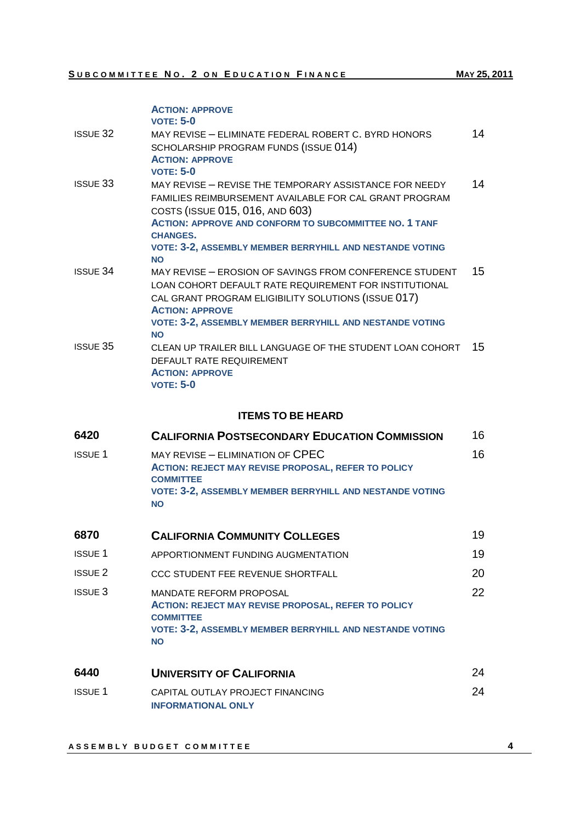### **ACTION: APPROVE**

|                 | $VOTE: 5-0$                                                                                                                                                                                                                                                                                                      |    |
|-----------------|------------------------------------------------------------------------------------------------------------------------------------------------------------------------------------------------------------------------------------------------------------------------------------------------------------------|----|
| <b>ISSUE 32</b> | MAY REVISE - ELIMINATE FEDERAL ROBERT C. BYRD HONORS<br>SCHOLARSHIP PROGRAM FUNDS (ISSUE 014)<br><b>ACTION: APPROVE</b><br><b>VOTE: 5-0</b>                                                                                                                                                                      | 14 |
| <b>ISSUE 33</b> | MAY REVISE - REVISE THE TEMPORARY ASSISTANCE FOR NEEDY<br>FAMILIES REIMBURSEMENT AVAILABLE FOR CAL GRANT PROGRAM<br>COSTS (ISSUE 015, 016, AND 603)<br><b>ACTION: APPROVE AND CONFORM TO SUBCOMMITTEE NO. 1 TANF</b><br><b>CHANGES.</b><br>VOTE: 3-2, ASSEMBLY MEMBER BERRYHILL AND NESTANDE VOTING<br><b>NO</b> | 14 |
| <b>ISSUE 34</b> | MAY REVISE - EROSION OF SAVINGS FROM CONFERENCE STUDENT<br>LOAN COHORT DEFAULT RATE REQUIREMENT FOR INSTITUTIONAL<br>CAL GRANT PROGRAM ELIGIBILITY SOLUTIONS (ISSUE 017)<br><b>ACTION: APPROVE</b><br>VOTE: 3-2, ASSEMBLY MEMBER BERRYHILL AND NESTANDE VOTING<br><b>NO</b>                                      | 15 |
| <b>ISSUE 35</b> | CLEAN UP TRAILER BILL LANGUAGE OF THE STUDENT LOAN COHORT<br>DEFAULT RATE REQUIREMENT<br><b>ACTION: APPROVE</b><br><b>VOTE: 5-0</b>                                                                                                                                                                              | 15 |
|                 | <b>ITEMS TO BE HEARD</b>                                                                                                                                                                                                                                                                                         |    |
| 6420            | <b>CALIFORNIA POSTSECONDARY EDUCATION COMMISSION</b>                                                                                                                                                                                                                                                             | 16 |
| <b>ISSUE 1</b>  | MAY REVISE - ELIMINATION OF CPEC<br><b>ACTION: REJECT MAY REVISE PROPOSAL, REFER TO POLICY</b><br><b>COMMITTEE</b><br>VOTE: 3-2, ASSEMBLY MEMBER BERRYHILL AND NESTANDE VOTING<br><b>NO</b>                                                                                                                      | 16 |
| 6870            | <b>CALIFORNIA COMMUNITY COLLEGES</b>                                                                                                                                                                                                                                                                             | 19 |
| <b>ISSUE 1</b>  | APPORTIONMENT FUNDING AUGMENTATION                                                                                                                                                                                                                                                                               | 19 |
| <b>ISSUE 2</b>  | CCC STUDENT FEE REVENUE SHORTFALL                                                                                                                                                                                                                                                                                | 20 |
| <b>ISSUE 3</b>  | MANDATE REFORM PROPOSAL<br><b>ACTION: REJECT MAY REVISE PROPOSAL, REFER TO POLICY</b><br><b>COMMITTEE</b><br>VOTE: 3-2, ASSEMBLY MEMBER BERRYHILL AND NESTANDE VOTING<br><b>NO</b>                                                                                                                               | 22 |

| 6440           | <b>UNIVERSITY OF CALIFORNIA</b>                               | 24 |
|----------------|---------------------------------------------------------------|----|
| <b>ISSUE 1</b> | CAPITAL OUTLAY PROJECT FINANCING<br><b>INFORMATIONAL ONLY</b> | 24 |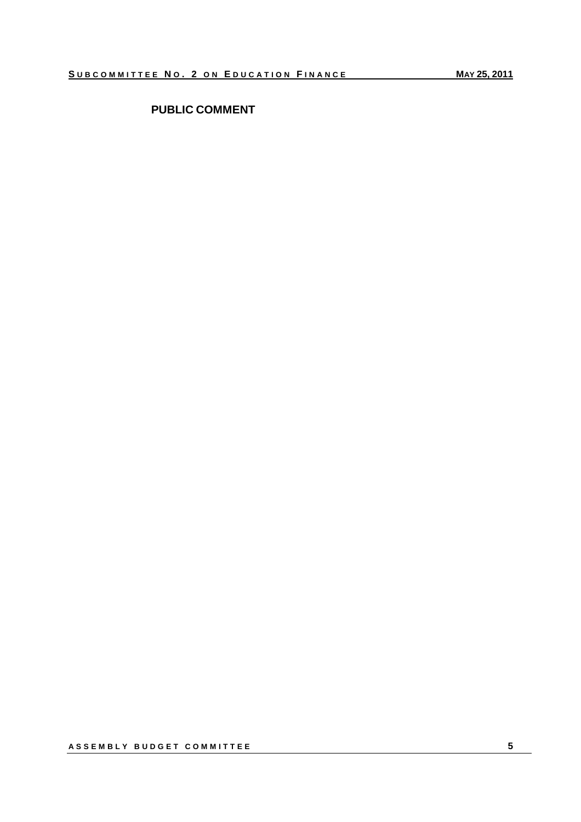### **PUBLIC COMMENT**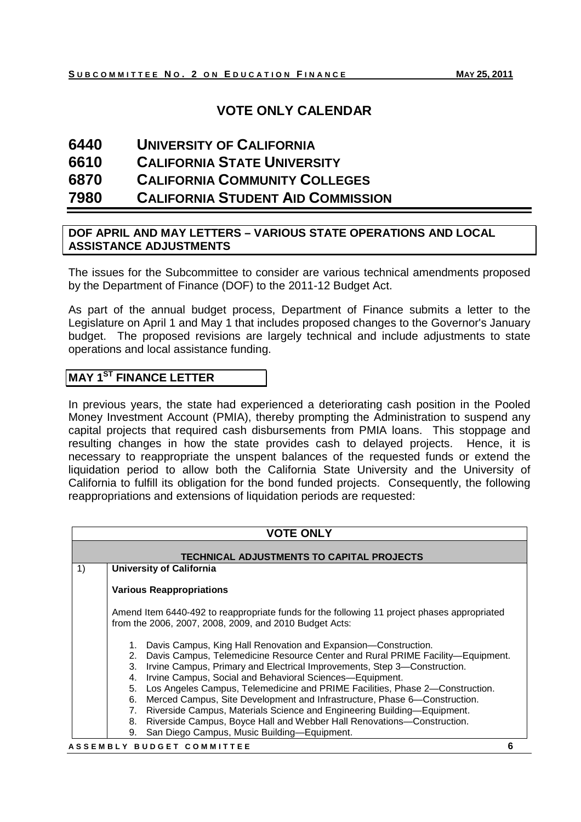## **VOTE ONLY CALENDAR**

- **6440 UNIVERSITY OF CALIFORNIA**
- **6610 CALIFORNIA STATE UNIVERSITY**
- **6870 CALIFORNIA COMMUNITY COLLEGES**
- **7980 CALIFORNIA STUDENT AID COMMISSION**

#### **DOF APRIL AND MAY LETTERS – VARIOUS STATE OPERATIONS AND LOCAL ASSISTANCE ADJUSTMENTS**

The issues for the Subcommittee to consider are various technical amendments proposed by the Department of Finance (DOF) to the 2011-12 Budget Act.

As part of the annual budget process, Department of Finance submits a letter to the Legislature on April 1 and May 1 that includes proposed changes to the Governor's January budget. The proposed revisions are largely technical and include adjustments to state operations and local assistance funding.

### **MAY 1ST FINANCE LETTER**

In previous years, the state had experienced a deteriorating cash position in the Pooled Money Investment Account (PMIA), thereby prompting the Administration to suspend any capital projects that required cash disbursements from PMIA loans. This stoppage and resulting changes in how the state provides cash to delayed projects. Hence, it is necessary to reappropriate the unspent balances of the requested funds or extend the liquidation period to allow both the California State University and the University of California to fulfill its obligation for the bond funded projects. Consequently, the following reappropriations and extensions of liquidation periods are requested:

| <b>VOTE ONLY</b>                                   |                                                                                                                                                                                                                                                                                                                                                                                                                                                                                                                                                                                                                                                           |
|----------------------------------------------------|-----------------------------------------------------------------------------------------------------------------------------------------------------------------------------------------------------------------------------------------------------------------------------------------------------------------------------------------------------------------------------------------------------------------------------------------------------------------------------------------------------------------------------------------------------------------------------------------------------------------------------------------------------------|
|                                                    | <b>TECHNICAL ADJUSTMENTS TO CAPITAL PROJECTS</b>                                                                                                                                                                                                                                                                                                                                                                                                                                                                                                                                                                                                          |
| 1)                                                 | <b>University of California</b>                                                                                                                                                                                                                                                                                                                                                                                                                                                                                                                                                                                                                           |
|                                                    | <b>Various Reappropriations</b>                                                                                                                                                                                                                                                                                                                                                                                                                                                                                                                                                                                                                           |
|                                                    | Amend Item 6440-492 to reappropriate funds for the following 11 project phases appropriated<br>from the 2006, 2007, 2008, 2009, and 2010 Budget Acts:                                                                                                                                                                                                                                                                                                                                                                                                                                                                                                     |
| 1.<br>2.<br>3.<br>4.<br>5.<br>6.<br>7.<br>8.<br>9. | Davis Campus, King Hall Renovation and Expansion-Construction.<br>Davis Campus, Telemedicine Resource Center and Rural PRIME Facility-Equipment.<br>Irvine Campus, Primary and Electrical Improvements, Step 3-Construction.<br>Irvine Campus, Social and Behavioral Sciences-Equipment.<br>Los Angeles Campus, Telemedicine and PRIME Facilities, Phase 2-Construction.<br>Merced Campus, Site Development and Infrastructure, Phase 6-Construction.<br>Riverside Campus, Materials Science and Engineering Building-Equipment.<br>Riverside Campus, Boyce Hall and Webber Hall Renovations-Construction.<br>San Diego Campus, Music Building-Equipment. |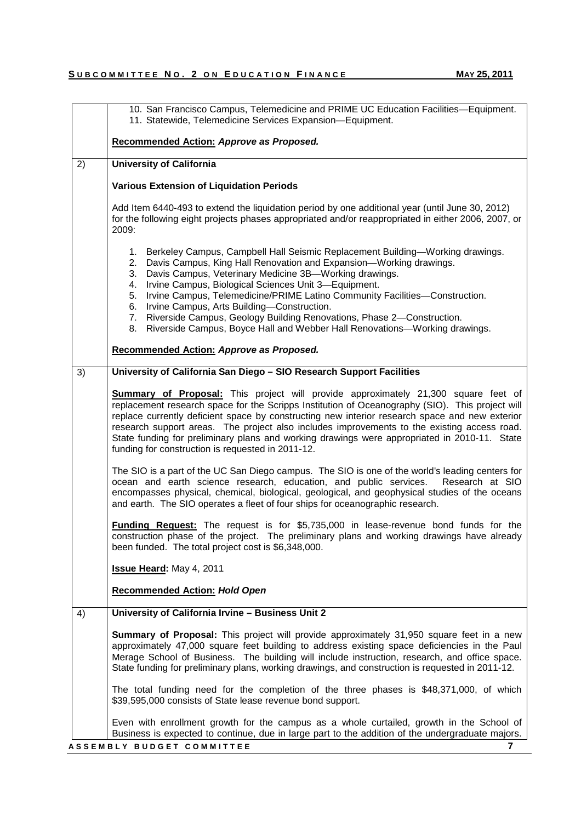|    | 10. San Francisco Campus, Telemedicine and PRIME UC Education Facilities—Equipment.<br>11. Statewide, Telemedicine Services Expansion-Equipment.                                                                                                                                                                                                                                                                                                                                                                                                                                              |
|----|-----------------------------------------------------------------------------------------------------------------------------------------------------------------------------------------------------------------------------------------------------------------------------------------------------------------------------------------------------------------------------------------------------------------------------------------------------------------------------------------------------------------------------------------------------------------------------------------------|
|    | Recommended Action: Approve as Proposed.                                                                                                                                                                                                                                                                                                                                                                                                                                                                                                                                                      |
| 2) | <b>University of California</b>                                                                                                                                                                                                                                                                                                                                                                                                                                                                                                                                                               |
|    | <b>Various Extension of Liquidation Periods</b>                                                                                                                                                                                                                                                                                                                                                                                                                                                                                                                                               |
|    | Add Item 6440-493 to extend the liquidation period by one additional year (until June 30, 2012)<br>for the following eight projects phases appropriated and/or reappropriated in either 2006, 2007, or<br>2009:                                                                                                                                                                                                                                                                                                                                                                               |
|    | 1. Berkeley Campus, Campbell Hall Seismic Replacement Building—Working drawings.<br>2. Davis Campus, King Hall Renovation and Expansion—Working drawings.<br>Davis Campus, Veterinary Medicine 3B-Working drawings.<br>3.<br>Irvine Campus, Biological Sciences Unit 3-Equipment.<br>4.<br>Irvine Campus, Telemedicine/PRIME Latino Community Facilities-Construction.<br>5.<br>6. Irvine Campus, Arts Building-Construction.<br>7. Riverside Campus, Geology Building Renovations, Phase 2-Construction.<br>Riverside Campus, Boyce Hall and Webber Hall Renovations-Working drawings.<br>8. |
|    | Recommended Action: Approve as Proposed.                                                                                                                                                                                                                                                                                                                                                                                                                                                                                                                                                      |
| 3) | University of California San Diego - SIO Research Support Facilities                                                                                                                                                                                                                                                                                                                                                                                                                                                                                                                          |
|    | Summary of Proposal: This project will provide approximately 21,300 square feet of<br>replacement research space for the Scripps Institution of Oceanography (SIO). This project will<br>replace currently deficient space by constructing new interior research space and new exterior<br>research support areas. The project also includes improvements to the existing access road.<br>State funding for preliminary plans and working drawings were appropriated in 2010-11. State<br>funding for construction is requested in 2011-12.                                                   |
|    | The SIO is a part of the UC San Diego campus. The SIO is one of the world's leading centers for<br>ocean and earth science research, education, and public services. Research at SIO<br>encompasses physical, chemical, biological, geological, and geophysical studies of the oceans<br>and earth. The SIO operates a fleet of four ships for oceanographic research.                                                                                                                                                                                                                        |
|    | <b>Funding Request:</b> The request is for \$5,735,000 in lease-revenue bond funds for the<br>construction phase of the project. The preliminary plans and working drawings have already<br>been funded. The total project cost is \$6,348,000.                                                                                                                                                                                                                                                                                                                                               |
|    | Issue Heard: May 4, 2011                                                                                                                                                                                                                                                                                                                                                                                                                                                                                                                                                                      |
|    | <b>Recommended Action: Hold Open</b>                                                                                                                                                                                                                                                                                                                                                                                                                                                                                                                                                          |
| 4) | University of California Irvine - Business Unit 2                                                                                                                                                                                                                                                                                                                                                                                                                                                                                                                                             |
|    | <b>Summary of Proposal:</b> This project will provide approximately 31,950 square feet in a new<br>approximately 47,000 square feet building to address existing space deficiencies in the Paul<br>Merage School of Business. The building will include instruction, research, and office space.<br>State funding for preliminary plans, working drawings, and construction is requested in 2011-12.                                                                                                                                                                                          |
|    | The total funding need for the completion of the three phases is \$48,371,000, of which<br>\$39,595,000 consists of State lease revenue bond support.                                                                                                                                                                                                                                                                                                                                                                                                                                         |
|    | Even with enrollment growth for the campus as a whole curtailed, growth in the School of<br>Business is expected to continue, due in large part to the addition of the undergraduate majors.<br>7                                                                                                                                                                                                                                                                                                                                                                                             |
|    | ASSEMBLY BUDGET COMMITTEE                                                                                                                                                                                                                                                                                                                                                                                                                                                                                                                                                                     |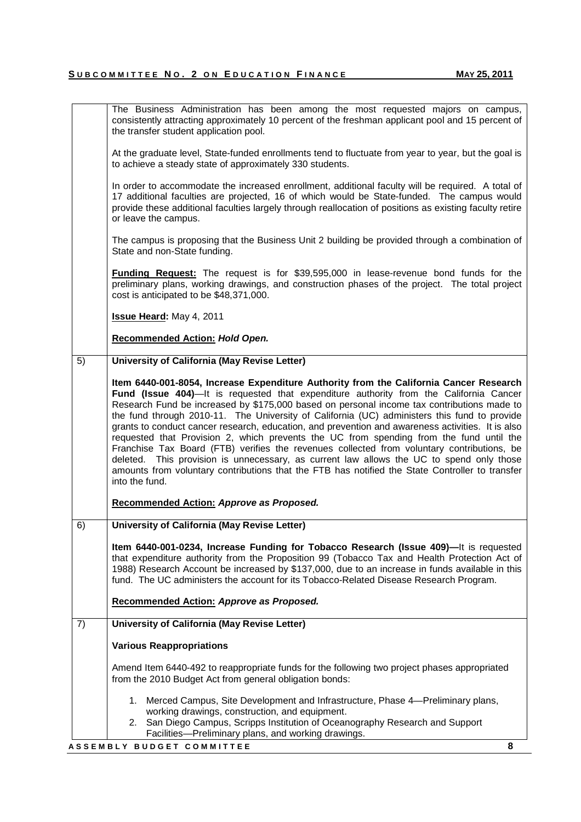|    | The Business Administration has been among the most requested majors on campus,<br>consistently attracting approximately 10 percent of the freshman applicant pool and 15 percent of<br>the transfer student application pool.                                                                                                                                                                                                                                                                                                                                                                                                                                                                                                                                                                                                                                                                |
|----|-----------------------------------------------------------------------------------------------------------------------------------------------------------------------------------------------------------------------------------------------------------------------------------------------------------------------------------------------------------------------------------------------------------------------------------------------------------------------------------------------------------------------------------------------------------------------------------------------------------------------------------------------------------------------------------------------------------------------------------------------------------------------------------------------------------------------------------------------------------------------------------------------|
|    | At the graduate level, State-funded enrollments tend to fluctuate from year to year, but the goal is<br>to achieve a steady state of approximately 330 students.                                                                                                                                                                                                                                                                                                                                                                                                                                                                                                                                                                                                                                                                                                                              |
|    | In order to accommodate the increased enrollment, additional faculty will be required. A total of<br>17 additional faculties are projected, 16 of which would be State-funded. The campus would<br>provide these additional faculties largely through reallocation of positions as existing faculty retire<br>or leave the campus.                                                                                                                                                                                                                                                                                                                                                                                                                                                                                                                                                            |
|    | The campus is proposing that the Business Unit 2 building be provided through a combination of<br>State and non-State funding.                                                                                                                                                                                                                                                                                                                                                                                                                                                                                                                                                                                                                                                                                                                                                                |
|    | <b>Funding Request:</b> The request is for \$39,595,000 in lease-revenue bond funds for the<br>preliminary plans, working drawings, and construction phases of the project. The total project<br>cost is anticipated to be \$48,371,000.                                                                                                                                                                                                                                                                                                                                                                                                                                                                                                                                                                                                                                                      |
|    | Issue Heard: May 4, 2011                                                                                                                                                                                                                                                                                                                                                                                                                                                                                                                                                                                                                                                                                                                                                                                                                                                                      |
|    | <b>Recommended Action: Hold Open.</b>                                                                                                                                                                                                                                                                                                                                                                                                                                                                                                                                                                                                                                                                                                                                                                                                                                                         |
| 5) | University of California (May Revise Letter)                                                                                                                                                                                                                                                                                                                                                                                                                                                                                                                                                                                                                                                                                                                                                                                                                                                  |
|    | Item 6440-001-8054, Increase Expenditure Authority from the California Cancer Research<br>Fund (Issue 404)—It is requested that expenditure authority from the California Cancer<br>Research Fund be increased by \$175,000 based on personal income tax contributions made to<br>the fund through 2010-11. The University of California (UC) administers this fund to provide<br>grants to conduct cancer research, education, and prevention and awareness activities. It is also<br>requested that Provision 2, which prevents the UC from spending from the fund until the<br>Franchise Tax Board (FTB) verifies the revenues collected from voluntary contributions, be<br>deleted. This provision is unnecessary, as current law allows the UC to spend only those<br>amounts from voluntary contributions that the FTB has notified the State Controller to transfer<br>into the fund. |
|    | Recommended Action: Approve as Proposed.                                                                                                                                                                                                                                                                                                                                                                                                                                                                                                                                                                                                                                                                                                                                                                                                                                                      |
| 6) | University of California (May Revise Letter)                                                                                                                                                                                                                                                                                                                                                                                                                                                                                                                                                                                                                                                                                                                                                                                                                                                  |
|    | Item 6440-001-0234, Increase Funding for Tobacco Research (Issue 409)—It is requested<br>that expenditure authority from the Proposition 99 (Tobacco Tax and Health Protection Act of<br>1988) Research Account be increased by \$137,000, due to an increase in funds available in this<br>fund. The UC administers the account for its Tobacco-Related Disease Research Program.                                                                                                                                                                                                                                                                                                                                                                                                                                                                                                            |
|    | Recommended Action: Approve as Proposed.                                                                                                                                                                                                                                                                                                                                                                                                                                                                                                                                                                                                                                                                                                                                                                                                                                                      |
| 7) | University of California (May Revise Letter)                                                                                                                                                                                                                                                                                                                                                                                                                                                                                                                                                                                                                                                                                                                                                                                                                                                  |
|    | <b>Various Reappropriations</b>                                                                                                                                                                                                                                                                                                                                                                                                                                                                                                                                                                                                                                                                                                                                                                                                                                                               |
|    | Amend Item 6440-492 to reappropriate funds for the following two project phases appropriated<br>from the 2010 Budget Act from general obligation bonds:                                                                                                                                                                                                                                                                                                                                                                                                                                                                                                                                                                                                                                                                                                                                       |
|    | 1. Merced Campus, Site Development and Infrastructure, Phase 4—Preliminary plans,<br>working drawings, construction, and equipment.<br>2. San Diego Campus, Scripps Institution of Oceanography Research and Support<br>Facilities-Preliminary plans, and working drawings.                                                                                                                                                                                                                                                                                                                                                                                                                                                                                                                                                                                                                   |
|    | ASSEMBLY BUDGET COMMITTEE<br>8                                                                                                                                                                                                                                                                                                                                                                                                                                                                                                                                                                                                                                                                                                                                                                                                                                                                |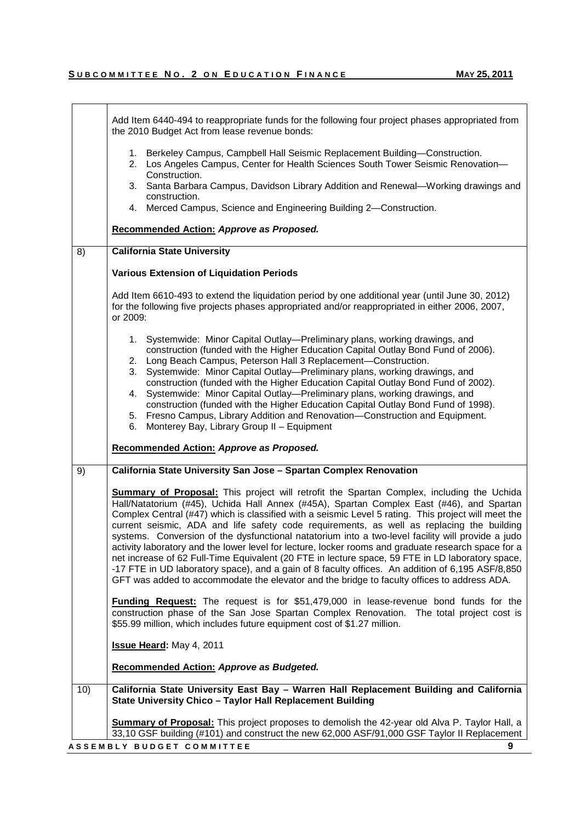|     | Add Item 6440-494 to reappropriate funds for the following four project phases appropriated from<br>the 2010 Budget Act from lease revenue bonds:                                                                                                                                                                                                                                                                                                                                                                                                                                                                                                                                                                                                                                                                                                                                                                   |
|-----|---------------------------------------------------------------------------------------------------------------------------------------------------------------------------------------------------------------------------------------------------------------------------------------------------------------------------------------------------------------------------------------------------------------------------------------------------------------------------------------------------------------------------------------------------------------------------------------------------------------------------------------------------------------------------------------------------------------------------------------------------------------------------------------------------------------------------------------------------------------------------------------------------------------------|
|     | 1. Berkeley Campus, Campbell Hall Seismic Replacement Building-Construction.<br>2. Los Angeles Campus, Center for Health Sciences South Tower Seismic Renovation-                                                                                                                                                                                                                                                                                                                                                                                                                                                                                                                                                                                                                                                                                                                                                   |
|     | Construction.<br>3. Santa Barbara Campus, Davidson Library Addition and Renewal—Working drawings and<br>construction.                                                                                                                                                                                                                                                                                                                                                                                                                                                                                                                                                                                                                                                                                                                                                                                               |
|     | 4. Merced Campus, Science and Engineering Building 2-Construction.                                                                                                                                                                                                                                                                                                                                                                                                                                                                                                                                                                                                                                                                                                                                                                                                                                                  |
|     | Recommended Action: Approve as Proposed.                                                                                                                                                                                                                                                                                                                                                                                                                                                                                                                                                                                                                                                                                                                                                                                                                                                                            |
| 8)  | <b>California State University</b>                                                                                                                                                                                                                                                                                                                                                                                                                                                                                                                                                                                                                                                                                                                                                                                                                                                                                  |
|     | <b>Various Extension of Liquidation Periods</b>                                                                                                                                                                                                                                                                                                                                                                                                                                                                                                                                                                                                                                                                                                                                                                                                                                                                     |
|     | Add Item 6610-493 to extend the liquidation period by one additional year (until June 30, 2012)<br>for the following five projects phases appropriated and/or reappropriated in either 2006, 2007,<br>or 2009:                                                                                                                                                                                                                                                                                                                                                                                                                                                                                                                                                                                                                                                                                                      |
|     | 1. Systemwide: Minor Capital Outlay—Preliminary plans, working drawings, and<br>construction (funded with the Higher Education Capital Outlay Bond Fund of 2006).<br>2. Long Beach Campus, Peterson Hall 3 Replacement-Construction.<br>Systemwide: Minor Capital Outlay-Preliminary plans, working drawings, and<br>3.<br>construction (funded with the Higher Education Capital Outlay Bond Fund of 2002).<br>4. Systemwide: Minor Capital Outlay—Preliminary plans, working drawings, and<br>construction (funded with the Higher Education Capital Outlay Bond Fund of 1998).<br>5. Fresno Campus, Library Addition and Renovation—Construction and Equipment.<br>Monterey Bay, Library Group II - Equipment<br>6.                                                                                                                                                                                              |
|     | Recommended Action: Approve as Proposed.                                                                                                                                                                                                                                                                                                                                                                                                                                                                                                                                                                                                                                                                                                                                                                                                                                                                            |
| 9)  | California State University San Jose - Spartan Complex Renovation                                                                                                                                                                                                                                                                                                                                                                                                                                                                                                                                                                                                                                                                                                                                                                                                                                                   |
|     | <b>Summary of Proposal:</b> This project will retrofit the Spartan Complex, including the Uchida<br>Hall/Natatorium (#45), Uchida Hall Annex (#45A), Spartan Complex East (#46), and Spartan<br>Complex Central (#47) which is classified with a seismic Level 5 rating. This project will meet the<br>current seismic, ADA and life safety code requirements, as well as replacing the building<br>systems. Conversion of the dysfunctional natatorium into a two-level facility will provide a judo<br>activity laboratory and the lower level for lecture, locker rooms and graduate research space for a<br>net increase of 62 Full-Time Equivalent (20 FTE in lecture space, 59 FTE in LD laboratory space,<br>-17 FTE in UD laboratory space), and a gain of 8 faculty offices. An addition of 6,195 ASF/8,850<br>GFT was added to accommodate the elevator and the bridge to faculty offices to address ADA. |
|     | <b>Funding Request:</b> The request is for \$51,479,000 in lease-revenue bond funds for the<br>construction phase of the San Jose Spartan Complex Renovation. The total project cost is<br>\$55.99 million, which includes future equipment cost of \$1.27 million.                                                                                                                                                                                                                                                                                                                                                                                                                                                                                                                                                                                                                                                 |
|     | Issue Heard: May 4, 2011                                                                                                                                                                                                                                                                                                                                                                                                                                                                                                                                                                                                                                                                                                                                                                                                                                                                                            |
|     | <b>Recommended Action: Approve as Budgeted.</b>                                                                                                                                                                                                                                                                                                                                                                                                                                                                                                                                                                                                                                                                                                                                                                                                                                                                     |
| 10) | California State University East Bay - Warren Hall Replacement Building and California<br>State University Chico - Taylor Hall Replacement Building                                                                                                                                                                                                                                                                                                                                                                                                                                                                                                                                                                                                                                                                                                                                                                 |
|     | <b>Summary of Proposal:</b> This project proposes to demolish the 42-year old Alva P. Taylor Hall, a<br>33,10 GSF building (#101) and construct the new 62,000 ASF/91,000 GSF Taylor II Replacement                                                                                                                                                                                                                                                                                                                                                                                                                                                                                                                                                                                                                                                                                                                 |
|     | ASSEMBLY BUDGET COMMITTEE<br>9                                                                                                                                                                                                                                                                                                                                                                                                                                                                                                                                                                                                                                                                                                                                                                                                                                                                                      |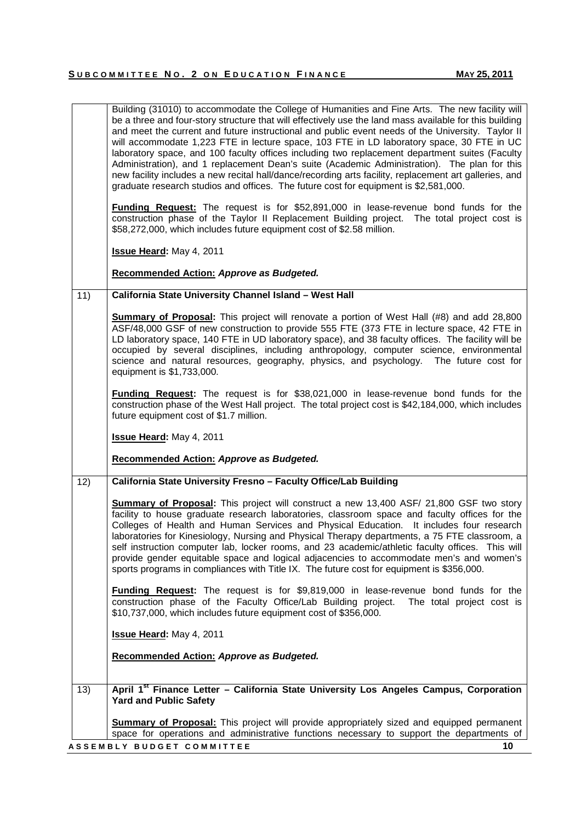|                 | Building (31010) to accommodate the College of Humanities and Fine Arts. The new facility will<br>be a three and four-story structure that will effectively use the land mass available for this building<br>and meet the current and future instructional and public event needs of the University. Taylor II<br>will accommodate 1,223 FTE in lecture space, 103 FTE in LD laboratory space, 30 FTE in UC<br>laboratory space, and 100 faculty offices including two replacement department suites (Faculty                                                                                                                                                                           |
|-----------------|-----------------------------------------------------------------------------------------------------------------------------------------------------------------------------------------------------------------------------------------------------------------------------------------------------------------------------------------------------------------------------------------------------------------------------------------------------------------------------------------------------------------------------------------------------------------------------------------------------------------------------------------------------------------------------------------|
|                 | Administration), and 1 replacement Dean's suite (Academic Administration). The plan for this<br>new facility includes a new recital hall/dance/recording arts facility, replacement art galleries, and<br>graduate research studios and offices. The future cost for equipment is \$2,581,000.                                                                                                                                                                                                                                                                                                                                                                                          |
|                 | <b>Funding Request:</b> The request is for \$52,891,000 in lease-revenue bond funds for the<br>construction phase of the Taylor II Replacement Building project. The total project cost is<br>\$58,272,000, which includes future equipment cost of \$2.58 million.                                                                                                                                                                                                                                                                                                                                                                                                                     |
|                 | Issue Heard: May 4, 2011                                                                                                                                                                                                                                                                                                                                                                                                                                                                                                                                                                                                                                                                |
|                 | Recommended Action: Approve as Budgeted.                                                                                                                                                                                                                                                                                                                                                                                                                                                                                                                                                                                                                                                |
| $\overline{11}$ | California State University Channel Island - West Hall                                                                                                                                                                                                                                                                                                                                                                                                                                                                                                                                                                                                                                  |
|                 | <b>Summary of Proposal:</b> This project will renovate a portion of West Hall (#8) and add 28,800<br>ASF/48,000 GSF of new construction to provide 555 FTE (373 FTE in lecture space, 42 FTE in<br>LD laboratory space, 140 FTE in UD laboratory space), and 38 faculty offices. The facility will be<br>occupied by several disciplines, including anthropology, computer science, environmental<br>science and natural resources, geography, physics, and psychology. The future cost for<br>equipment is \$1,733,000.                                                                                                                                                                |
|                 | <b>Funding Request:</b> The request is for \$38,021,000 in lease-revenue bond funds for the<br>construction phase of the West Hall project. The total project cost is \$42,184,000, which includes<br>future equipment cost of \$1.7 million.                                                                                                                                                                                                                                                                                                                                                                                                                                           |
|                 | Issue Heard: May 4, 2011                                                                                                                                                                                                                                                                                                                                                                                                                                                                                                                                                                                                                                                                |
|                 | Recommended Action: Approve as Budgeted.                                                                                                                                                                                                                                                                                                                                                                                                                                                                                                                                                                                                                                                |
| 12)             | California State University Fresno - Faculty Office/Lab Building                                                                                                                                                                                                                                                                                                                                                                                                                                                                                                                                                                                                                        |
|                 | <b>Summary of Proposal:</b> This project will construct a new 13,400 ASF/ 21,800 GSF two story<br>facility to house graduate research laboratories, classroom space and faculty offices for the<br>Colleges of Health and Human Services and Physical Education. It includes four research<br>laboratories for Kinesiology, Nursing and Physical Therapy departments, a 75 FTE classroom, a<br>self instruction computer lab, locker rooms, and 23 academic/athletic faculty offices. This will<br>provide gender equitable space and logical adjacencies to accommodate men's and women's<br>sports programs in compliances with Title IX. The future cost for equipment is \$356,000. |
|                 | <b>Funding Request:</b> The request is for \$9,819,000 in lease-revenue bond funds for the<br>construction phase of the Faculty Office/Lab Building project.<br>The total project cost is<br>\$10,737,000, which includes future equipment cost of \$356,000.                                                                                                                                                                                                                                                                                                                                                                                                                           |
|                 | Issue Heard: May 4, 2011                                                                                                                                                                                                                                                                                                                                                                                                                                                                                                                                                                                                                                                                |
|                 | Recommended Action: Approve as Budgeted.                                                                                                                                                                                                                                                                                                                                                                                                                                                                                                                                                                                                                                                |
| 13)             | April 1 <sup>st</sup> Finance Letter - California State University Los Angeles Campus, Corporation<br><b>Yard and Public Safety</b>                                                                                                                                                                                                                                                                                                                                                                                                                                                                                                                                                     |
|                 | <b>Summary of Proposal:</b> This project will provide appropriately sized and equipped permanent<br>space for operations and administrative functions necessary to support the departments of                                                                                                                                                                                                                                                                                                                                                                                                                                                                                           |
|                 | 10<br>ASSEMBLY BUDGET COMMITTEE                                                                                                                                                                                                                                                                                                                                                                                                                                                                                                                                                                                                                                                         |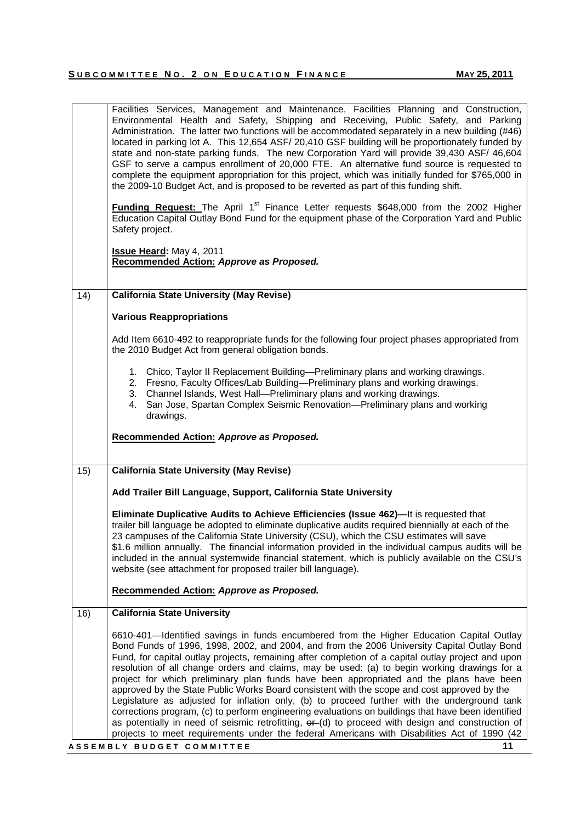|                  | Facilities Services, Management and Maintenance, Facilities Planning and Construction,<br>Environmental Health and Safety, Shipping and Receiving, Public Safety, and Parking<br>Administration. The latter two functions will be accommodated separately in a new building (#46)<br>located in parking lot A. This 12,654 ASF/20,410 GSF building will be proportionately funded by<br>state and non-state parking funds. The new Corporation Yard will provide 39,430 ASF/ 46,604<br>GSF to serve a campus enrollment of 20,000 FTE. An alternative fund source is requested to<br>complete the equipment appropriation for this project, which was initially funded for \$765,000 in<br>the 2009-10 Budget Act, and is proposed to be reverted as part of this funding shift.                                                                                                                                                                                                                 |
|------------------|--------------------------------------------------------------------------------------------------------------------------------------------------------------------------------------------------------------------------------------------------------------------------------------------------------------------------------------------------------------------------------------------------------------------------------------------------------------------------------------------------------------------------------------------------------------------------------------------------------------------------------------------------------------------------------------------------------------------------------------------------------------------------------------------------------------------------------------------------------------------------------------------------------------------------------------------------------------------------------------------------|
|                  | <b>Funding Request:</b> The April 1 <sup>st</sup> Finance Letter requests \$648,000 from the 2002 Higher<br>Education Capital Outlay Bond Fund for the equipment phase of the Corporation Yard and Public<br>Safety project.                                                                                                                                                                                                                                                                                                                                                                                                                                                                                                                                                                                                                                                                                                                                                                     |
|                  | <b>Issue Heard:</b> May 4, 2011<br>Recommended Action: Approve as Proposed.                                                                                                                                                                                                                                                                                                                                                                                                                                                                                                                                                                                                                                                                                                                                                                                                                                                                                                                      |
| $\overline{14)}$ | <b>California State University (May Revise)</b>                                                                                                                                                                                                                                                                                                                                                                                                                                                                                                                                                                                                                                                                                                                                                                                                                                                                                                                                                  |
|                  | <b>Various Reappropriations</b>                                                                                                                                                                                                                                                                                                                                                                                                                                                                                                                                                                                                                                                                                                                                                                                                                                                                                                                                                                  |
|                  | Add Item 6610-492 to reappropriate funds for the following four project phases appropriated from<br>the 2010 Budget Act from general obligation bonds.                                                                                                                                                                                                                                                                                                                                                                                                                                                                                                                                                                                                                                                                                                                                                                                                                                           |
|                  | 1. Chico, Taylor II Replacement Building—Preliminary plans and working drawings.<br>2. Fresno, Faculty Offices/Lab Building—Preliminary plans and working drawings.<br>3. Channel Islands, West Hall-Preliminary plans and working drawings.<br>4. San Jose, Spartan Complex Seismic Renovation—Preliminary plans and working<br>drawings.                                                                                                                                                                                                                                                                                                                                                                                                                                                                                                                                                                                                                                                       |
|                  | Recommended Action: Approve as Proposed.                                                                                                                                                                                                                                                                                                                                                                                                                                                                                                                                                                                                                                                                                                                                                                                                                                                                                                                                                         |
| $\overline{15)}$ | <b>California State University (May Revise)</b>                                                                                                                                                                                                                                                                                                                                                                                                                                                                                                                                                                                                                                                                                                                                                                                                                                                                                                                                                  |
|                  | Add Trailer Bill Language, Support, California State University                                                                                                                                                                                                                                                                                                                                                                                                                                                                                                                                                                                                                                                                                                                                                                                                                                                                                                                                  |
|                  | Eliminate Duplicative Audits to Achieve Efficiencies (Issue 462)—It is requested that<br>trailer bill language be adopted to eliminate duplicative audits required biennially at each of the<br>23 campuses of the California State University (CSU), which the CSU estimates will save<br>\$1.6 million annually. The financial information provided in the individual campus audits will be<br>included in the annual systemwide financial statement, which is publicly available on the CSU's<br>website (see attachment for proposed trailer bill language).                                                                                                                                                                                                                                                                                                                                                                                                                                 |
|                  | Recommended Action: Approve as Proposed.                                                                                                                                                                                                                                                                                                                                                                                                                                                                                                                                                                                                                                                                                                                                                                                                                                                                                                                                                         |
| 16)              | <b>California State University</b>                                                                                                                                                                                                                                                                                                                                                                                                                                                                                                                                                                                                                                                                                                                                                                                                                                                                                                                                                               |
|                  | 6610-401—Identified savings in funds encumbered from the Higher Education Capital Outlay<br>Bond Funds of 1996, 1998, 2002, and 2004, and from the 2006 University Capital Outlay Bond<br>Fund, for capital outlay projects, remaining after completion of a capital outlay project and upon<br>resolution of all change orders and claims, may be used: (a) to begin working drawings for a<br>project for which preliminary plan funds have been appropriated and the plans have been<br>approved by the State Public Works Board consistent with the scope and cost approved by the<br>Legislature as adjusted for inflation only, (b) to proceed further with the underground tank<br>corrections program, (c) to perform engineering evaluations on buildings that have been identified<br>as potentially in need of seismic retrofitting, er-(d) to proceed with design and construction of<br>projects to meet requirements under the federal Americans with Disabilities Act of 1990 (42 |
|                  | ASSEMBLY BUDGET COMMITTEE<br>11                                                                                                                                                                                                                                                                                                                                                                                                                                                                                                                                                                                                                                                                                                                                                                                                                                                                                                                                                                  |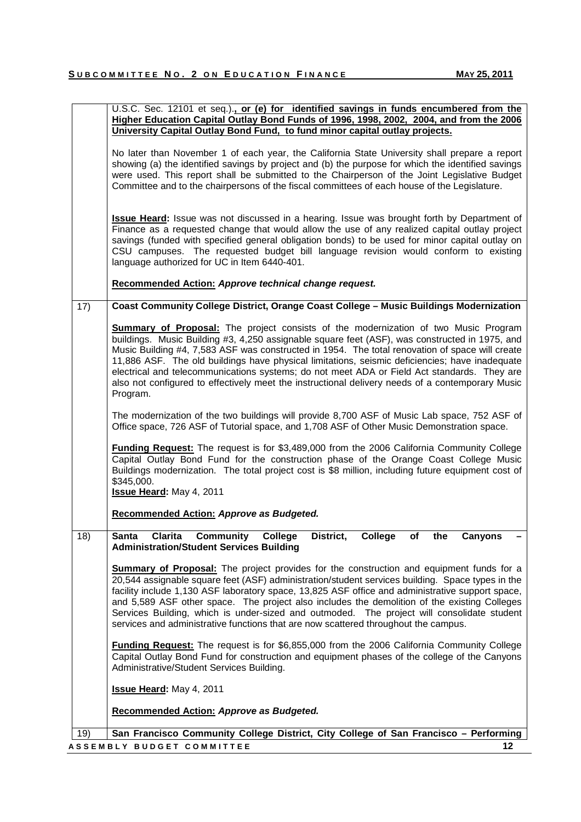|                                                                                             | U.S.C. Sec. 12101 et seq.). or (e) for identified savings in funds encumbered from the<br>Higher Education Capital Outlay Bond Funds of 1996, 1998, 2002, 2004, and from the 2006                                                                                                                                                                                                                                                                                                                                                                                                                         |  |  |
|---------------------------------------------------------------------------------------------|-----------------------------------------------------------------------------------------------------------------------------------------------------------------------------------------------------------------------------------------------------------------------------------------------------------------------------------------------------------------------------------------------------------------------------------------------------------------------------------------------------------------------------------------------------------------------------------------------------------|--|--|
|                                                                                             | University Capital Outlay Bond Fund, to fund minor capital outlay projects.                                                                                                                                                                                                                                                                                                                                                                                                                                                                                                                               |  |  |
|                                                                                             | No later than November 1 of each year, the California State University shall prepare a report<br>showing (a) the identified savings by project and (b) the purpose for which the identified savings<br>were used. This report shall be submitted to the Chairperson of the Joint Legislative Budget<br>Committee and to the chairpersons of the fiscal committees of each house of the Legislature.                                                                                                                                                                                                       |  |  |
|                                                                                             | <b>Issue Heard:</b> Issue was not discussed in a hearing. Issue was brought forth by Department of<br>Finance as a requested change that would allow the use of any realized capital outlay project<br>savings (funded with specified general obligation bonds) to be used for minor capital outlay on<br>CSU campuses. The requested budget bill language revision would conform to existing<br>language authorized for UC in Item 6440-401.                                                                                                                                                             |  |  |
|                                                                                             | Recommended Action: Approve technical change request.                                                                                                                                                                                                                                                                                                                                                                                                                                                                                                                                                     |  |  |
| 17)                                                                                         | Coast Community College District, Orange Coast College - Music Buildings Modernization                                                                                                                                                                                                                                                                                                                                                                                                                                                                                                                    |  |  |
|                                                                                             | Summary of Proposal: The project consists of the modernization of two Music Program<br>buildings. Music Building #3, 4,250 assignable square feet (ASF), was constructed in 1975, and<br>Music Building #4, 7,583 ASF was constructed in 1954. The total renovation of space will create<br>11,886 ASF. The old buildings have physical limitations, seismic deficiencies; have inadequate<br>electrical and telecommunications systems; do not meet ADA or Field Act standards. They are<br>also not configured to effectively meet the instructional delivery needs of a contemporary Music<br>Program. |  |  |
|                                                                                             | The modernization of the two buildings will provide 8,700 ASF of Music Lab space, 752 ASF of<br>Office space, 726 ASF of Tutorial space, and 1,708 ASF of Other Music Demonstration space.                                                                                                                                                                                                                                                                                                                                                                                                                |  |  |
|                                                                                             | <b>Funding Request:</b> The request is for \$3,489,000 from the 2006 California Community College<br>Capital Outlay Bond Fund for the construction phase of the Orange Coast College Music<br>Buildings modernization. The total project cost is \$8 million, including future equipment cost of<br>\$345,000.<br>Issue Heard: May 4, 2011                                                                                                                                                                                                                                                                |  |  |
|                                                                                             | Recommended Action: Approve as Budgeted.                                                                                                                                                                                                                                                                                                                                                                                                                                                                                                                                                                  |  |  |
| 18)                                                                                         | <b>Clarita</b><br>College<br><b>Community</b><br>District,<br>College<br>of<br>the<br><b>Santa</b><br><b>Canyons</b><br><b>Administration/Student Services Building</b>                                                                                                                                                                                                                                                                                                                                                                                                                                   |  |  |
|                                                                                             | <b>Summary of Proposal:</b> The project provides for the construction and equipment funds for a<br>20,544 assignable square feet (ASF) administration/student services building. Space types in the<br>facility include 1,130 ASF laboratory space, 13,825 ASF office and administrative support space,<br>and 5,589 ASF other space. The project also includes the demolition of the existing Colleges<br>Services Building, which is under-sized and outmoded. The project will consolidate student<br>services and administrative functions that are now scattered throughout the campus.              |  |  |
|                                                                                             | <b>Funding Request:</b> The request is for \$6,855,000 from the 2006 California Community College<br>Capital Outlay Bond Fund for construction and equipment phases of the college of the Canyons<br>Administrative/Student Services Building.                                                                                                                                                                                                                                                                                                                                                            |  |  |
|                                                                                             | Issue Heard: May 4, 2011                                                                                                                                                                                                                                                                                                                                                                                                                                                                                                                                                                                  |  |  |
|                                                                                             | Recommended Action: Approve as Budgeted.                                                                                                                                                                                                                                                                                                                                                                                                                                                                                                                                                                  |  |  |
| San Francisco Community College District, City College of San Francisco - Performing<br>19) |                                                                                                                                                                                                                                                                                                                                                                                                                                                                                                                                                                                                           |  |  |
| 12<br>ASSEMBLY BUDGET COMMITTEE                                                             |                                                                                                                                                                                                                                                                                                                                                                                                                                                                                                                                                                                                           |  |  |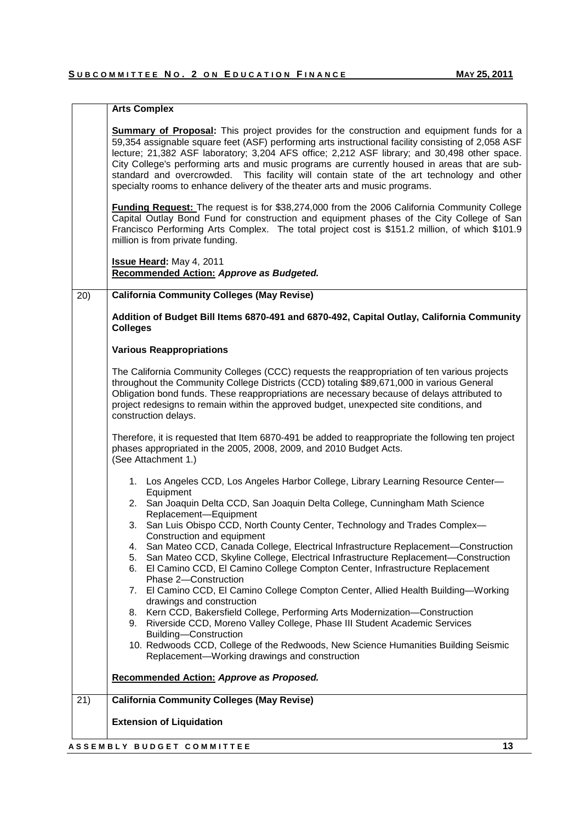|     | <b>Arts Complex</b>                                                                                                                                                                                                                                                                                                                                                                                                                                                                                                                                                                  |
|-----|--------------------------------------------------------------------------------------------------------------------------------------------------------------------------------------------------------------------------------------------------------------------------------------------------------------------------------------------------------------------------------------------------------------------------------------------------------------------------------------------------------------------------------------------------------------------------------------|
|     | <b>Summary of Proposal:</b> This project provides for the construction and equipment funds for a<br>59,354 assignable square feet (ASF) performing arts instructional facility consisting of 2,058 ASF<br>lecture; 21,382 ASF laboratory; 3,204 AFS office; 2,212 ASF library; and 30,498 other space.<br>City College's performing arts and music programs are currently housed in areas that are sub-<br>standard and overcrowded. This facility will contain state of the art technology and other<br>specialty rooms to enhance delivery of the theater arts and music programs. |
|     | <b>Funding Request:</b> The request is for \$38,274,000 from the 2006 California Community College<br>Capital Outlay Bond Fund for construction and equipment phases of the City College of San<br>Francisco Performing Arts Complex. The total project cost is \$151.2 million, of which \$101.9<br>million is from private funding.                                                                                                                                                                                                                                                |
|     | Issue Heard: May 4, 2011<br>Recommended Action: Approve as Budgeted.                                                                                                                                                                                                                                                                                                                                                                                                                                                                                                                 |
| 20) | <b>California Community Colleges (May Revise)</b>                                                                                                                                                                                                                                                                                                                                                                                                                                                                                                                                    |
|     | Addition of Budget Bill Items 6870-491 and 6870-492, Capital Outlay, California Community<br><b>Colleges</b>                                                                                                                                                                                                                                                                                                                                                                                                                                                                         |
|     | <b>Various Reappropriations</b>                                                                                                                                                                                                                                                                                                                                                                                                                                                                                                                                                      |
|     | The California Community Colleges (CCC) requests the reappropriation of ten various projects<br>throughout the Community College Districts (CCD) totaling \$89,671,000 in various General<br>Obligation bond funds. These reappropriations are necessary because of delays attributed to<br>project redesigns to remain within the approved budget, unexpected site conditions, and<br>construction delays.                                                                                                                                                                          |
|     | Therefore, it is requested that Item 6870-491 be added to reappropriate the following ten project<br>phases appropriated in the 2005, 2008, 2009, and 2010 Budget Acts.<br>(See Attachment 1.)                                                                                                                                                                                                                                                                                                                                                                                       |
|     | 1. Los Angeles CCD, Los Angeles Harbor College, Library Learning Resource Center-<br>Equipment<br>2. San Joaquin Delta CCD, San Joaquin Delta College, Cunningham Math Science<br>Replacement-Equipment<br>3. San Luis Obispo CCD, North County Center, Technology and Trades Complex-                                                                                                                                                                                                                                                                                               |
|     | Construction and equipment<br>San Mateo CCD, Canada College, Electrical Infrastructure Replacement-Construction<br>4.<br>San Mateo CCD, Skyline College, Electrical Infrastructure Replacement-Construction<br>5.<br>El Camino CCD, El Camino College Compton Center, Infrastructure Replacement<br>6.<br>Phase 2-Construction                                                                                                                                                                                                                                                       |
|     | 7. El Camino CCD, El Camino College Compton Center, Allied Health Building-Working<br>drawings and construction<br>8. Kern CCD, Bakersfield College, Performing Arts Modernization-Construction<br>Riverside CCD, Moreno Valley College, Phase III Student Academic Services<br>9.<br>Building-Construction                                                                                                                                                                                                                                                                          |
|     | 10. Redwoods CCD, College of the Redwoods, New Science Humanities Building Seismic<br>Replacement-Working drawings and construction                                                                                                                                                                                                                                                                                                                                                                                                                                                  |
|     | Recommended Action: Approve as Proposed.                                                                                                                                                                                                                                                                                                                                                                                                                                                                                                                                             |
| 21) | <b>California Community Colleges (May Revise)</b>                                                                                                                                                                                                                                                                                                                                                                                                                                                                                                                                    |
|     | <b>Extension of Liquidation</b>                                                                                                                                                                                                                                                                                                                                                                                                                                                                                                                                                      |
|     | 13<br>ASSEMBLY BUDGET COMMITTEE                                                                                                                                                                                                                                                                                                                                                                                                                                                                                                                                                      |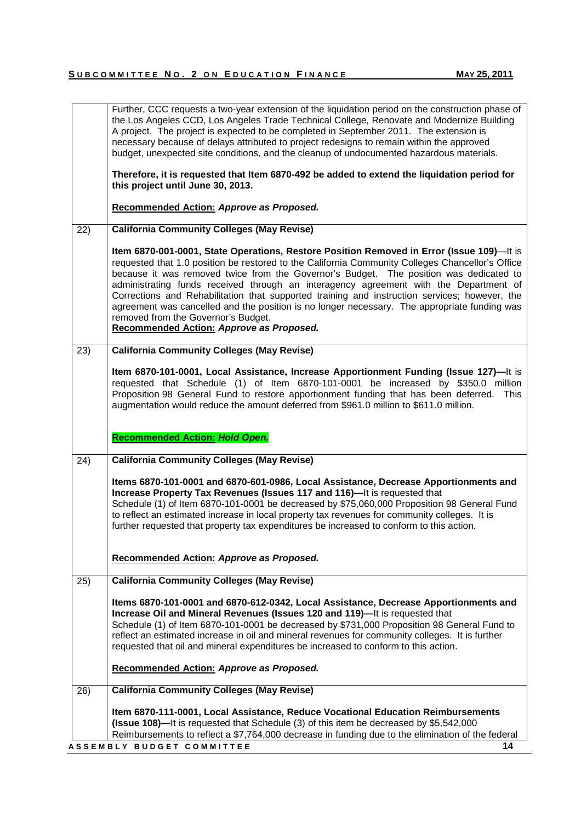|                                                                                                                                  | Further, CCC requests a two-year extension of the liquidation period on the construction phase of<br>the Los Angeles CCD, Los Angeles Trade Technical College, Renovate and Modernize Building<br>A project. The project is expected to be completed in September 2011. The extension is<br>necessary because of delays attributed to project redesigns to remain within the approved<br>budget, unexpected site conditions, and the cleanup of undocumented hazardous materials.                                                                                                                                                                                    |  |  |  |  |  |  |
|----------------------------------------------------------------------------------------------------------------------------------|----------------------------------------------------------------------------------------------------------------------------------------------------------------------------------------------------------------------------------------------------------------------------------------------------------------------------------------------------------------------------------------------------------------------------------------------------------------------------------------------------------------------------------------------------------------------------------------------------------------------------------------------------------------------|--|--|--|--|--|--|
| Therefore, it is requested that Item 6870-492 be added to extend the liquidation period for<br>this project until June 30, 2013. |                                                                                                                                                                                                                                                                                                                                                                                                                                                                                                                                                                                                                                                                      |  |  |  |  |  |  |
|                                                                                                                                  | Recommended Action: Approve as Proposed.                                                                                                                                                                                                                                                                                                                                                                                                                                                                                                                                                                                                                             |  |  |  |  |  |  |
| $\overline{22}$                                                                                                                  | <b>California Community Colleges (May Revise)</b>                                                                                                                                                                                                                                                                                                                                                                                                                                                                                                                                                                                                                    |  |  |  |  |  |  |
|                                                                                                                                  | Item 6870-001-0001, State Operations, Restore Position Removed in Error (Issue 109)—It is<br>requested that 1.0 position be restored to the California Community Colleges Chancellor's Office<br>because it was removed twice from the Governor's Budget. The position was dedicated to<br>administrating funds received through an interagency agreement with the Department of<br>Corrections and Rehabilitation that supported training and instruction services; however, the<br>agreement was cancelled and the position is no longer necessary. The appropriate funding was<br>removed from the Governor's Budget.<br>Recommended Action: Approve as Proposed. |  |  |  |  |  |  |
| $\overline{2}3)$                                                                                                                 | <b>California Community Colleges (May Revise)</b>                                                                                                                                                                                                                                                                                                                                                                                                                                                                                                                                                                                                                    |  |  |  |  |  |  |
|                                                                                                                                  | Item 6870-101-0001, Local Assistance, Increase Apportionment Funding (Issue 127)—It is<br>requested that Schedule (1) of Item 6870-101-0001 be increased by \$350.0 million<br>Proposition 98 General Fund to restore apportionment funding that has been deferred. This<br>augmentation would reduce the amount deferred from \$961.0 million to \$611.0 million.                                                                                                                                                                                                                                                                                                   |  |  |  |  |  |  |
|                                                                                                                                  | <b>Recommended Action: Hold Open.</b>                                                                                                                                                                                                                                                                                                                                                                                                                                                                                                                                                                                                                                |  |  |  |  |  |  |
| 24)                                                                                                                              | <b>California Community Colleges (May Revise)</b>                                                                                                                                                                                                                                                                                                                                                                                                                                                                                                                                                                                                                    |  |  |  |  |  |  |
|                                                                                                                                  | Items 6870-101-0001 and 6870-601-0986, Local Assistance, Decrease Apportionments and<br>Increase Property Tax Revenues (Issues 117 and 116)-It is requested that<br>Schedule (1) of Item 6870-101-0001 be decreased by \$75,060,000 Proposition 98 General Fund<br>to reflect an estimated increase in local property tax revenues for community colleges. It is<br>further requested that property tax expenditures be increased to conform to this action.                                                                                                                                                                                                         |  |  |  |  |  |  |
|                                                                                                                                  | Recommended Action: Approve as Proposed.                                                                                                                                                                                                                                                                                                                                                                                                                                                                                                                                                                                                                             |  |  |  |  |  |  |
| 25)                                                                                                                              | <b>California Community Colleges (May Revise)</b>                                                                                                                                                                                                                                                                                                                                                                                                                                                                                                                                                                                                                    |  |  |  |  |  |  |
|                                                                                                                                  | Items 6870-101-0001 and 6870-612-0342, Local Assistance, Decrease Apportionments and<br>Increase Oil and Mineral Revenues (Issues 120 and 119)-It is requested that<br>Schedule (1) of Item 6870-101-0001 be decreased by \$731,000 Proposition 98 General Fund to<br>reflect an estimated increase in oil and mineral revenues for community colleges. It is further<br>requested that oil and mineral expenditures be increased to conform to this action.                                                                                                                                                                                                         |  |  |  |  |  |  |
|                                                                                                                                  | Recommended Action: Approve as Proposed.                                                                                                                                                                                                                                                                                                                                                                                                                                                                                                                                                                                                                             |  |  |  |  |  |  |
| 26)                                                                                                                              | <b>California Community Colleges (May Revise)</b>                                                                                                                                                                                                                                                                                                                                                                                                                                                                                                                                                                                                                    |  |  |  |  |  |  |
|                                                                                                                                  | Item 6870-111-0001, Local Assistance, Reduce Vocational Education Reimbursements<br>(Issue 108)—It is requested that Schedule (3) of this item be decreased by \$5,542,000<br>Reimbursements to reflect a \$7,764,000 decrease in funding due to the elimination of the federal                                                                                                                                                                                                                                                                                                                                                                                      |  |  |  |  |  |  |
|                                                                                                                                  | 14<br>ASSEMBLY BUDGET COMMITTEE                                                                                                                                                                                                                                                                                                                                                                                                                                                                                                                                                                                                                                      |  |  |  |  |  |  |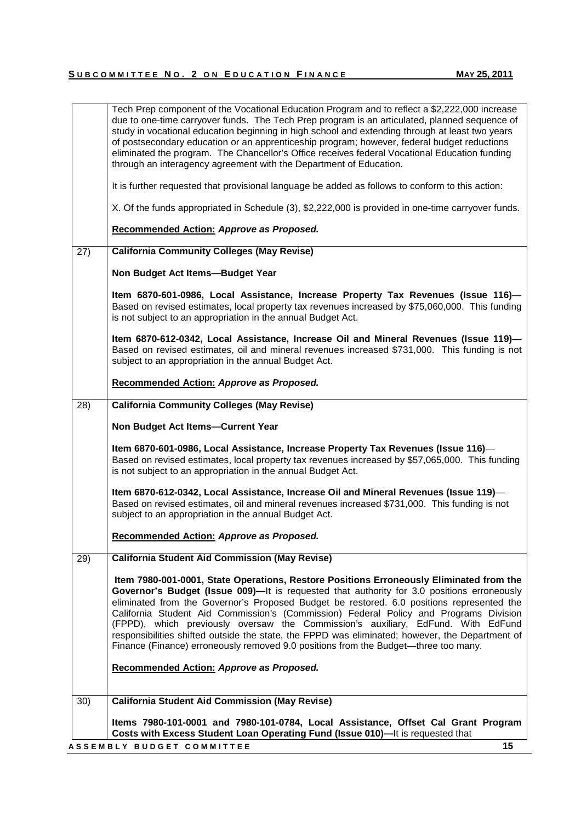|      | Tech Prep component of the Vocational Education Program and to reflect a \$2,222,000 increase<br>due to one-time carryover funds. The Tech Prep program is an articulated, planned sequence of<br>study in vocational education beginning in high school and extending through at least two years<br>of postsecondary education or an apprenticeship program; however, federal budget reductions<br>eliminated the program. The Chancellor's Office receives federal Vocational Education funding<br>through an interagency agreement with the Department of Education.                                                                                   |
|------|-----------------------------------------------------------------------------------------------------------------------------------------------------------------------------------------------------------------------------------------------------------------------------------------------------------------------------------------------------------------------------------------------------------------------------------------------------------------------------------------------------------------------------------------------------------------------------------------------------------------------------------------------------------|
|      | It is further requested that provisional language be added as follows to conform to this action:                                                                                                                                                                                                                                                                                                                                                                                                                                                                                                                                                          |
|      | X. Of the funds appropriated in Schedule (3), \$2,222,000 is provided in one-time carryover funds.                                                                                                                                                                                                                                                                                                                                                                                                                                                                                                                                                        |
|      | Recommended Action: Approve as Proposed.                                                                                                                                                                                                                                                                                                                                                                                                                                                                                                                                                                                                                  |
| (27) | <b>California Community Colleges (May Revise)</b>                                                                                                                                                                                                                                                                                                                                                                                                                                                                                                                                                                                                         |
|      | Non Budget Act Items-Budget Year                                                                                                                                                                                                                                                                                                                                                                                                                                                                                                                                                                                                                          |
|      | Item 6870-601-0986, Local Assistance, Increase Property Tax Revenues (Issue 116)-<br>Based on revised estimates, local property tax revenues increased by \$75,060,000. This funding<br>is not subject to an appropriation in the annual Budget Act.                                                                                                                                                                                                                                                                                                                                                                                                      |
|      | Item 6870-612-0342, Local Assistance, Increase Oil and Mineral Revenues (Issue 119)-<br>Based on revised estimates, oil and mineral revenues increased \$731,000. This funding is not<br>subject to an appropriation in the annual Budget Act.                                                                                                                                                                                                                                                                                                                                                                                                            |
|      | Recommended Action: Approve as Proposed.                                                                                                                                                                                                                                                                                                                                                                                                                                                                                                                                                                                                                  |
| 28)  | <b>California Community Colleges (May Revise)</b>                                                                                                                                                                                                                                                                                                                                                                                                                                                                                                                                                                                                         |
|      | Non Budget Act Items-Current Year                                                                                                                                                                                                                                                                                                                                                                                                                                                                                                                                                                                                                         |
|      | Item 6870-601-0986, Local Assistance, Increase Property Tax Revenues (Issue 116)-<br>Based on revised estimates, local property tax revenues increased by \$57,065,000. This funding<br>is not subject to an appropriation in the annual Budget Act.                                                                                                                                                                                                                                                                                                                                                                                                      |
|      | Item 6870-612-0342, Local Assistance, Increase Oil and Mineral Revenues (Issue 119)-<br>Based on revised estimates, oil and mineral revenues increased \$731,000. This funding is not<br>subject to an appropriation in the annual Budget Act.                                                                                                                                                                                                                                                                                                                                                                                                            |
|      | Recommended Action: Approve as Proposed.                                                                                                                                                                                                                                                                                                                                                                                                                                                                                                                                                                                                                  |
| 29)  | <b>California Student Aid Commission (May Revise)</b>                                                                                                                                                                                                                                                                                                                                                                                                                                                                                                                                                                                                     |
|      | Item 7980-001-0001, State Operations, Restore Positions Erroneously Eliminated from the<br>Governor's Budget (Issue 009)—It is requested that authority for 3.0 positions erroneously<br>eliminated from the Governor's Proposed Budget be restored. 6.0 positions represented the<br>California Student Aid Commission's (Commission) Federal Policy and Programs Division<br>(FPPD), which previously oversaw the Commission's auxiliary, EdFund. With EdFund<br>responsibilities shifted outside the state, the FPPD was eliminated; however, the Department of<br>Finance (Finance) erroneously removed 9.0 positions from the Budget-three too many. |
|      | Recommended Action: Approve as Proposed.                                                                                                                                                                                                                                                                                                                                                                                                                                                                                                                                                                                                                  |
| 30)  | <b>California Student Aid Commission (May Revise)</b>                                                                                                                                                                                                                                                                                                                                                                                                                                                                                                                                                                                                     |
|      | Items 7980-101-0001 and 7980-101-0784, Local Assistance, Offset Cal Grant Program<br>Costs with Excess Student Loan Operating Fund (Issue 010)—It is requested that                                                                                                                                                                                                                                                                                                                                                                                                                                                                                       |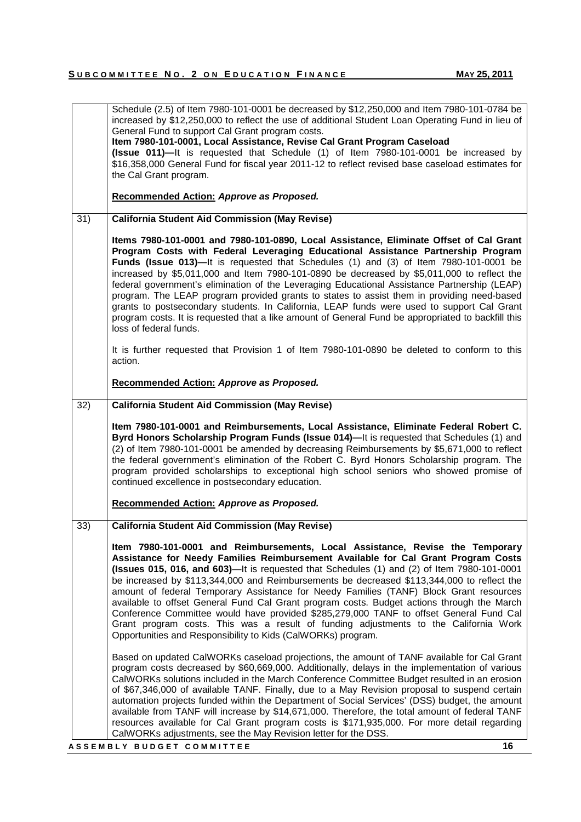| Schedule (2.5) of Item 7980-101-0001 be decreased by \$12,250,000 and Item 7980-101-0784 be<br>increased by \$12,250,000 to reflect the use of additional Student Loan Operating Fund in lieu of<br>General Fund to support Cal Grant program costs. |                                                                                                                                                                                                                                                                                                                                                                                                                                                                                                                                                                                                                                                                                                                                                                                                                       |  |  |  |  |  |
|------------------------------------------------------------------------------------------------------------------------------------------------------------------------------------------------------------------------------------------------------|-----------------------------------------------------------------------------------------------------------------------------------------------------------------------------------------------------------------------------------------------------------------------------------------------------------------------------------------------------------------------------------------------------------------------------------------------------------------------------------------------------------------------------------------------------------------------------------------------------------------------------------------------------------------------------------------------------------------------------------------------------------------------------------------------------------------------|--|--|--|--|--|
|                                                                                                                                                                                                                                                      | Item 7980-101-0001, Local Assistance, Revise Cal Grant Program Caseload<br>(Issue 011)—It is requested that Schedule (1) of Item 7980-101-0001 be increased by<br>\$16,358,000 General Fund for fiscal year 2011-12 to reflect revised base caseload estimates for<br>the Cal Grant program.                                                                                                                                                                                                                                                                                                                                                                                                                                                                                                                          |  |  |  |  |  |
|                                                                                                                                                                                                                                                      | Recommended Action: Approve as Proposed.                                                                                                                                                                                                                                                                                                                                                                                                                                                                                                                                                                                                                                                                                                                                                                              |  |  |  |  |  |
| 31)                                                                                                                                                                                                                                                  | <b>California Student Aid Commission (May Revise)</b>                                                                                                                                                                                                                                                                                                                                                                                                                                                                                                                                                                                                                                                                                                                                                                 |  |  |  |  |  |
|                                                                                                                                                                                                                                                      | Items 7980-101-0001 and 7980-101-0890, Local Assistance, Eliminate Offset of Cal Grant<br>Program Costs with Federal Leveraging Educational Assistance Partnership Program<br><b>Funds (Issue 013)—It is requested that Schedules (1) and (3) of Item 7980-101-0001 be</b><br>increased by \$5,011,000 and Item 7980-101-0890 be decreased by \$5,011,000 to reflect the<br>federal government's elimination of the Leveraging Educational Assistance Partnership (LEAP)<br>program. The LEAP program provided grants to states to assist them in providing need-based<br>grants to postsecondary students. In California, LEAP funds were used to support Cal Grant<br>program costs. It is requested that a like amount of General Fund be appropriated to backfill this<br>loss of federal funds.                  |  |  |  |  |  |
|                                                                                                                                                                                                                                                      | It is further requested that Provision 1 of Item 7980-101-0890 be deleted to conform to this<br>action.                                                                                                                                                                                                                                                                                                                                                                                                                                                                                                                                                                                                                                                                                                               |  |  |  |  |  |
|                                                                                                                                                                                                                                                      | Recommended Action: Approve as Proposed.                                                                                                                                                                                                                                                                                                                                                                                                                                                                                                                                                                                                                                                                                                                                                                              |  |  |  |  |  |
| $\overline{32}$                                                                                                                                                                                                                                      | <b>California Student Aid Commission (May Revise)</b>                                                                                                                                                                                                                                                                                                                                                                                                                                                                                                                                                                                                                                                                                                                                                                 |  |  |  |  |  |
|                                                                                                                                                                                                                                                      | Item 7980-101-0001 and Reimbursements, Local Assistance, Eliminate Federal Robert C.<br>Byrd Honors Scholarship Program Funds (Issue 014)—It is requested that Schedules (1) and<br>(2) of Item 7980-101-0001 be amended by decreasing Reimbursements by \$5,671,000 to reflect<br>the federal government's elimination of the Robert C. Byrd Honors Scholarship program. The<br>program provided scholarships to exceptional high school seniors who showed promise of<br>continued excellence in postsecondary education.                                                                                                                                                                                                                                                                                           |  |  |  |  |  |
|                                                                                                                                                                                                                                                      | Recommended Action: Approve as Proposed.                                                                                                                                                                                                                                                                                                                                                                                                                                                                                                                                                                                                                                                                                                                                                                              |  |  |  |  |  |
| 33)                                                                                                                                                                                                                                                  | <b>California Student Aid Commission (May Revise)</b>                                                                                                                                                                                                                                                                                                                                                                                                                                                                                                                                                                                                                                                                                                                                                                 |  |  |  |  |  |
|                                                                                                                                                                                                                                                      | Item 7980-101-0001 and Reimbursements, Local Assistance, Revise the Temporary<br>Assistance for Needy Families Reimbursement Available for Cal Grant Program Costs<br><b>(Issues 015, 016, and 603)</b> —It is requested that Schedules $(1)$ and $(2)$ of Item 7980-101-0001<br>be increased by \$113,344,000 and Reimbursements be decreased \$113,344,000 to reflect the<br>amount of federal Temporary Assistance for Needy Families (TANF) Block Grant resources<br>available to offset General Fund Cal Grant program costs. Budget actions through the March<br>Conference Committee would have provided \$285,279,000 TANF to offset General Fund Cal<br>Grant program costs. This was a result of funding adjustments to the California Work<br>Opportunities and Responsibility to Kids (CalWORKs) program. |  |  |  |  |  |
|                                                                                                                                                                                                                                                      | Based on updated CalWORKs caseload projections, the amount of TANF available for Cal Grant<br>program costs decreased by \$60,669,000. Additionally, delays in the implementation of various<br>CalWORKs solutions included in the March Conference Committee Budget resulted in an erosion<br>of \$67,346,000 of available TANF. Finally, due to a May Revision proposal to suspend certain<br>automation projects funded within the Department of Social Services' (DSS) budget, the amount<br>available from TANF will increase by \$14,671,000. Therefore, the total amount of federal TANF<br>resources available for Cal Grant program costs is \$171,935,000. For more detail regarding<br>CalWORKs adjustments, see the May Revision letter for the DSS.<br>16<br>ASSEMBLY BUDGET COMMITTEE                   |  |  |  |  |  |
|                                                                                                                                                                                                                                                      |                                                                                                                                                                                                                                                                                                                                                                                                                                                                                                                                                                                                                                                                                                                                                                                                                       |  |  |  |  |  |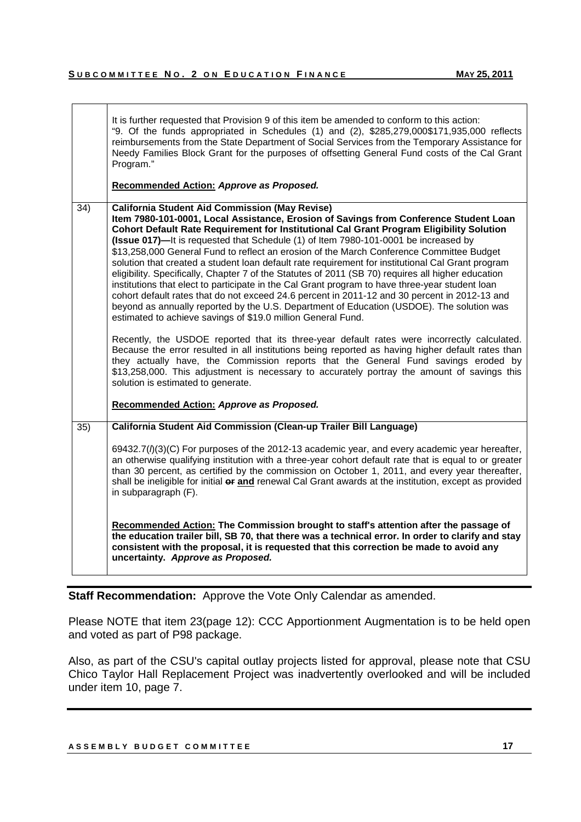Т

|     | It is further requested that Provision 9 of this item be amended to conform to this action:<br>"9. Of the funds appropriated in Schedules $(1)$ and $(2)$ , \$285,279,000\$171,935,000 reflects<br>reimbursements from the State Department of Social Services from the Temporary Assistance for<br>Needy Families Block Grant for the purposes of offsetting General Fund costs of the Cal Grant<br>Program."                                                                                                                                                                                                                                                                                                                                                                                                                                                                                                                                                                                                                                                                                                                                                                                                                                                                                                                                                                                                                                                                       |  |  |  |  |
|-----|--------------------------------------------------------------------------------------------------------------------------------------------------------------------------------------------------------------------------------------------------------------------------------------------------------------------------------------------------------------------------------------------------------------------------------------------------------------------------------------------------------------------------------------------------------------------------------------------------------------------------------------------------------------------------------------------------------------------------------------------------------------------------------------------------------------------------------------------------------------------------------------------------------------------------------------------------------------------------------------------------------------------------------------------------------------------------------------------------------------------------------------------------------------------------------------------------------------------------------------------------------------------------------------------------------------------------------------------------------------------------------------------------------------------------------------------------------------------------------------|--|--|--|--|
|     | Recommended Action: Approve as Proposed.                                                                                                                                                                                                                                                                                                                                                                                                                                                                                                                                                                                                                                                                                                                                                                                                                                                                                                                                                                                                                                                                                                                                                                                                                                                                                                                                                                                                                                             |  |  |  |  |
| 34) | <b>California Student Aid Commission (May Revise)</b><br>Item 7980-101-0001, Local Assistance, Erosion of Savings from Conference Student Loan<br>Cohort Default Rate Requirement for Institutional Cal Grant Program Eligibility Solution<br>(Issue 017)-It is requested that Schedule (1) of Item 7980-101-0001 be increased by<br>\$13,258,000 General Fund to reflect an erosion of the March Conference Committee Budget<br>solution that created a student loan default rate requirement for institutional Cal Grant program<br>eligibility. Specifically, Chapter 7 of the Statutes of 2011 (SB 70) requires all higher education<br>institutions that elect to participate in the Cal Grant program to have three-year student loan<br>cohort default rates that do not exceed 24.6 percent in 2011-12 and 30 percent in 2012-13 and<br>beyond as annually reported by the U.S. Department of Education (USDOE). The solution was<br>estimated to achieve savings of \$19.0 million General Fund.<br>Recently, the USDOE reported that its three-year default rates were incorrectly calculated.<br>Because the error resulted in all institutions being reported as having higher default rates than<br>they actually have, the Commission reports that the General Fund savings eroded by<br>\$13,258,000. This adjustment is necessary to accurately portray the amount of savings this<br>solution is estimated to generate.<br>Recommended Action: Approve as Proposed. |  |  |  |  |
| 35) | California Student Aid Commission (Clean-up Trailer Bill Language)                                                                                                                                                                                                                                                                                                                                                                                                                                                                                                                                                                                                                                                                                                                                                                                                                                                                                                                                                                                                                                                                                                                                                                                                                                                                                                                                                                                                                   |  |  |  |  |
|     | 69432.7(1)(3)(C) For purposes of the 2012-13 academic year, and every academic year hereafter,<br>an otherwise qualifying institution with a three-year cohort default rate that is equal to or greater<br>than 30 percent, as certified by the commission on October 1, 2011, and every year thereafter,<br>shall be ineligible for initial or and renewal Cal Grant awards at the institution, except as provided<br>in subparagraph (F).                                                                                                                                                                                                                                                                                                                                                                                                                                                                                                                                                                                                                                                                                                                                                                                                                                                                                                                                                                                                                                          |  |  |  |  |
|     | Recommended Action: The Commission brought to staff's attention after the passage of<br>the education trailer bill, SB 70, that there was a technical error. In order to clarify and stay<br>consistent with the proposal, it is requested that this correction be made to avoid any<br>uncertainty. Approve as Proposed.                                                                                                                                                                                                                                                                                                                                                                                                                                                                                                                                                                                                                                                                                                                                                                                                                                                                                                                                                                                                                                                                                                                                                            |  |  |  |  |

**Staff Recommendation:** Approve the Vote Only Calendar as amended.

Please NOTE that item 23(page 12): CCC Apportionment Augmentation is to be held open and voted as part of P98 package.

Also, as part of the CSU's capital outlay projects listed for approval, please note that CSU Chico Taylor Hall Replacement Project was inadvertently overlooked and will be included under item 10, page 7.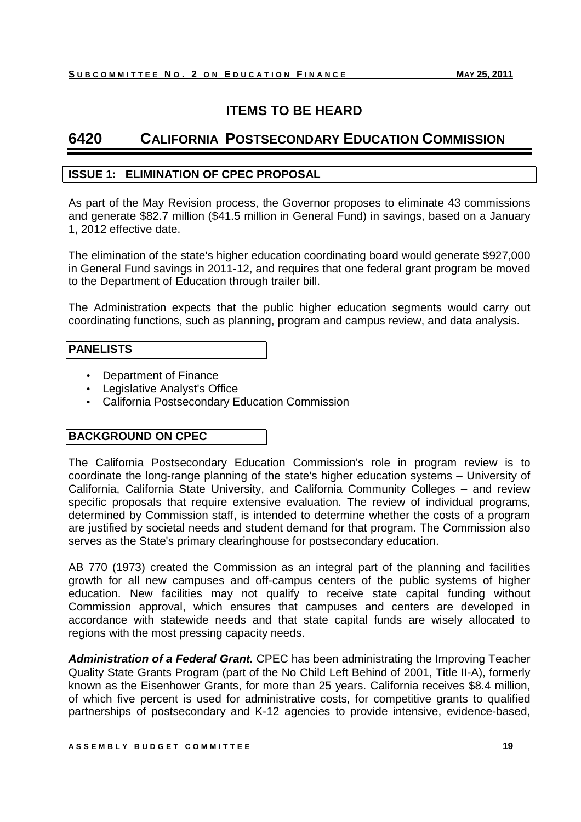## **ITEMS TO BE HEARD**

## **6420 CALIFORNIA POSTSECONDARY EDUCATION COMMISSION**

#### **ISSUE 1: ELIMINATION OF CPEC PROPOSAL**

As part of the May Revision process, the Governor proposes to eliminate 43 commissions and generate \$82.7 million (\$41.5 million in General Fund) in savings, based on a January 1, 2012 effective date.

The elimination of the state's higher education coordinating board would generate \$927,000 in General Fund savings in 2011-12, and requires that one federal grant program be moved to the Department of Education through trailer bill.

The Administration expects that the public higher education segments would carry out coordinating functions, such as planning, program and campus review, and data analysis.

#### **PANELISTS**

- Department of Finance
- Legislative Analyst's Office
- California Postsecondary Education Commission

#### **BACKGROUND ON CPEC**

The California Postsecondary Education Commission's role in program review is to coordinate the long-range planning of the state's higher education systems – University of California, California State University, and California Community Colleges – and review specific proposals that require extensive evaluation. The review of individual programs, determined by Commission staff, is intended to determine whether the costs of a program are justified by societal needs and student demand for that program. The Commission also serves as the State's primary clearinghouse for postsecondary education.

AB 770 (1973) created the Commission as an integral part of the planning and facilities growth for all new campuses and off-campus centers of the public systems of higher education. New facilities may not qualify to receive state capital funding without Commission approval, which ensures that campuses and centers are developed in accordance with statewide needs and that state capital funds are wisely allocated to regions with the most pressing capacity needs.

**Administration of a Federal Grant.** CPEC has been administrating the Improving Teacher Quality State Grants Program (part of the No Child Left Behind of 2001, Title II-A), formerly known as the Eisenhower Grants, for more than 25 years. California receives \$8.4 million, of which five percent is used for administrative costs, for competitive grants to qualified partnerships of postsecondary and K-12 agencies to provide intensive, evidence-based,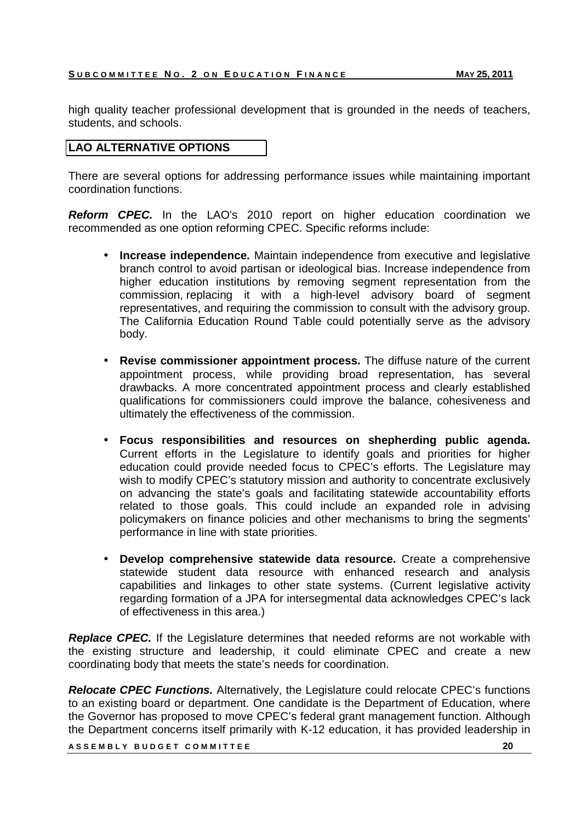#### **S U B C O M M I T T E E N O . 2 O N E D U C A T I O N F I N A N C E MAY 25, 2011**

high quality teacher professional development that is grounded in the needs of teachers, students, and schools.

#### **LAO ALTERNATIVE OPTIONS**

There are several options for addressing performance issues while maintaining important coordination functions.

**Reform CPEC.** In the LAO's 2010 report on higher education coordination we recommended as one option reforming CPEC. Specific reforms include:

- **Increase independence.** Maintain independence from executive and legislative branch control to avoid partisan or ideological bias. Increase independence from higher education institutions by removing segment representation from the commission, replacing it with a high-level advisory board of segment representatives, and requiring the commission to consult with the advisory group. The California Education Round Table could potentially serve as the advisory body.
- **Revise commissioner appointment process.** The diffuse nature of the current appointment process, while providing broad representation, has several drawbacks. A more concentrated appointment process and clearly established qualifications for commissioners could improve the balance, cohesiveness and ultimately the effectiveness of the commission.
- **Focus responsibilities and resources on shepherding public agenda.**  Current efforts in the Legislature to identify goals and priorities for higher education could provide needed focus to CPEC's efforts. The Legislature may wish to modify CPEC's statutory mission and authority to concentrate exclusively on advancing the state's goals and facilitating statewide accountability efforts related to those goals. This could include an expanded role in advising policymakers on finance policies and other mechanisms to bring the segments' performance in line with state priorities.
- **Develop comprehensive statewide data resource.** Create a comprehensive statewide student data resource with enhanced research and analysis capabilities and linkages to other state systems. (Current legislative activity regarding formation of a JPA for intersegmental data acknowledges CPEC's lack of effectiveness in this area.)

**Replace CPEC.** If the Legislature determines that needed reforms are not workable with the existing structure and leadership, it could eliminate CPEC and create a new coordinating body that meets the state's needs for coordination.

**Relocate CPEC Functions.** Alternatively, the Legislature could relocate CPEC's functions to an existing board or department. One candidate is the Department of Education, where the Governor has proposed to move CPEC's federal grant management function. Although the Department concerns itself primarily with K-12 education, it has provided leadership in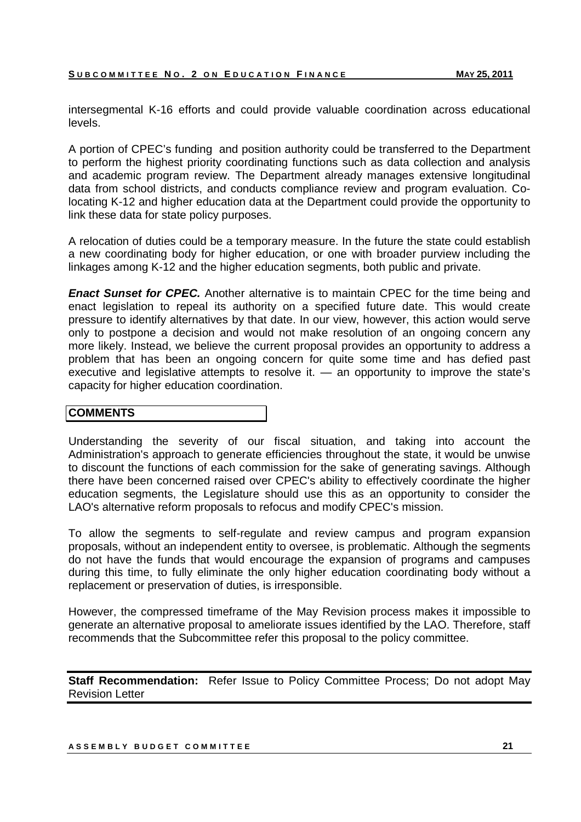intersegmental K-16 efforts and could provide valuable coordination across educational levels.

A portion of CPEC's funding and position authority could be transferred to the Department to perform the highest priority coordinating functions such as data collection and analysis and academic program review. The Department already manages extensive longitudinal data from school districts, and conducts compliance review and program evaluation. Colocating K-12 and higher education data at the Department could provide the opportunity to link these data for state policy purposes.

A relocation of duties could be a temporary measure. In the future the state could establish a new coordinating body for higher education, or one with broader purview including the linkages among K-12 and the higher education segments, both public and private.

**Enact Sunset for CPEC.** Another alternative is to maintain CPEC for the time being and enact legislation to repeal its authority on a specified future date. This would create pressure to identify alternatives by that date. In our view, however, this action would serve only to postpone a decision and would not make resolution of an ongoing concern any more likely. Instead, we believe the current proposal provides an opportunity to address a problem that has been an ongoing concern for quite some time and has defied past executive and legislative attempts to resolve it. — an opportunity to improve the state's capacity for higher education coordination.

#### **COMMENTS**

Understanding the severity of our fiscal situation, and taking into account the Administration's approach to generate efficiencies throughout the state, it would be unwise to discount the functions of each commission for the sake of generating savings. Although there have been concerned raised over CPEC's ability to effectively coordinate the higher education segments, the Legislature should use this as an opportunity to consider the LAO's alternative reform proposals to refocus and modify CPEC's mission.

To allow the segments to self-regulate and review campus and program expansion proposals, without an independent entity to oversee, is problematic. Although the segments do not have the funds that would encourage the expansion of programs and campuses during this time, to fully eliminate the only higher education coordinating body without a replacement or preservation of duties, is irresponsible.

However, the compressed timeframe of the May Revision process makes it impossible to generate an alternative proposal to ameliorate issues identified by the LAO. Therefore, staff recommends that the Subcommittee refer this proposal to the policy committee.

**Staff Recommendation:** Refer Issue to Policy Committee Process; Do not adopt May Revision Letter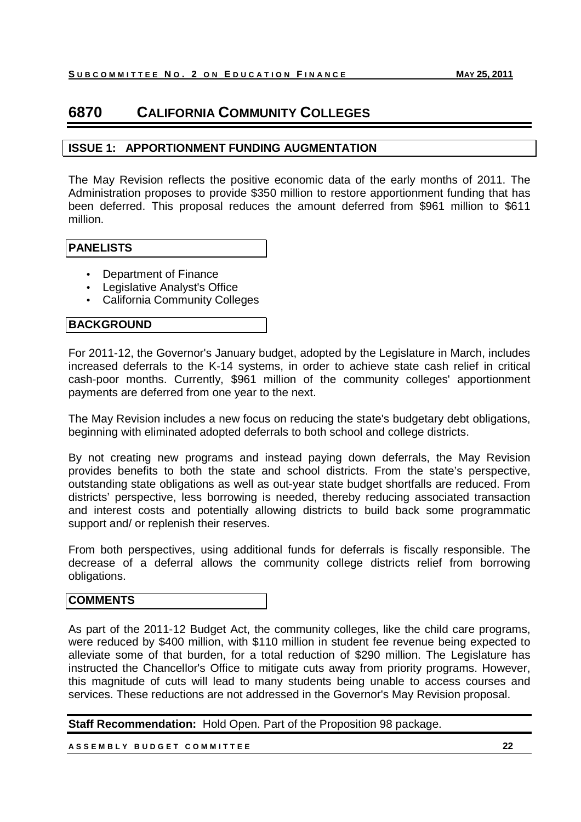## **6870 CALIFORNIA COMMUNITY COLLEGES**

#### **ISSUE 1: APPORTIONMENT FUNDING AUGMENTATION**

The May Revision reflects the positive economic data of the early months of 2011. The Administration proposes to provide \$350 million to restore apportionment funding that has been deferred. This proposal reduces the amount deferred from \$961 million to \$611 million.

#### **PANELISTS**

- Department of Finance
- Legislative Analyst's Office
- California Community Colleges

#### **BACKGROUND**

For 2011-12, the Governor's January budget, adopted by the Legislature in March, includes increased deferrals to the K-14 systems, in order to achieve state cash relief in critical cash-poor months. Currently, \$961 million of the community colleges' apportionment payments are deferred from one year to the next.

The May Revision includes a new focus on reducing the state's budgetary debt obligations, beginning with eliminated adopted deferrals to both school and college districts.

By not creating new programs and instead paying down deferrals, the May Revision provides benefits to both the state and school districts. From the state's perspective, outstanding state obligations as well as out-year state budget shortfalls are reduced. From districts' perspective, less borrowing is needed, thereby reducing associated transaction and interest costs and potentially allowing districts to build back some programmatic support and/ or replenish their reserves.

From both perspectives, using additional funds for deferrals is fiscally responsible. The decrease of a deferral allows the community college districts relief from borrowing obligations.

#### **COMMENTS**

As part of the 2011-12 Budget Act, the community colleges, like the child care programs, were reduced by \$400 million, with \$110 million in student fee revenue being expected to alleviate some of that burden, for a total reduction of \$290 million. The Legislature has instructed the Chancellor's Office to mitigate cuts away from priority programs. However, this magnitude of cuts will lead to many students being unable to access courses and services. These reductions are not addressed in the Governor's May Revision proposal.

**Staff Recommendation:** Hold Open. Part of the Proposition 98 package.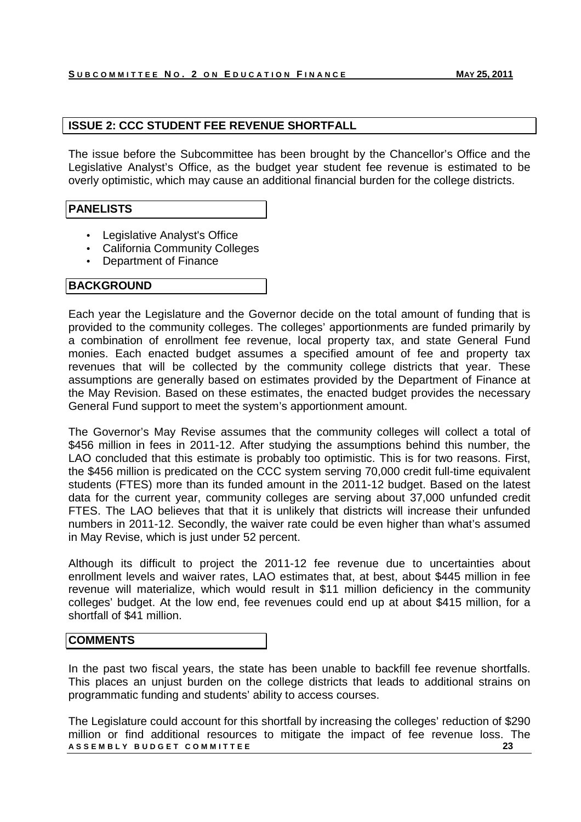#### **ISSUE 2: CCC STUDENT FEE REVENUE SHORTFALL**

The issue before the Subcommittee has been brought by the Chancellor's Office and the Legislative Analyst's Office, as the budget year student fee revenue is estimated to be overly optimistic, which may cause an additional financial burden for the college districts.

#### **PANELISTS**

- Legislative Analyst's Office
- California Community Colleges
- Department of Finance

#### **BACKGROUND**

Each year the Legislature and the Governor decide on the total amount of funding that is provided to the community colleges. The colleges' apportionments are funded primarily by a combination of enrollment fee revenue, local property tax, and state General Fund monies. Each enacted budget assumes a specified amount of fee and property tax revenues that will be collected by the community college districts that year. These assumptions are generally based on estimates provided by the Department of Finance at the May Revision. Based on these estimates, the enacted budget provides the necessary General Fund support to meet the system's apportionment amount.

The Governor's May Revise assumes that the community colleges will collect a total of \$456 million in fees in 2011-12. After studying the assumptions behind this number, the LAO concluded that this estimate is probably too optimistic. This is for two reasons. First, the \$456 million is predicated on the CCC system serving 70,000 credit full-time equivalent students (FTES) more than its funded amount in the 2011-12 budget. Based on the latest data for the current year, community colleges are serving about 37,000 unfunded credit FTES. The LAO believes that that it is unlikely that districts will increase their unfunded numbers in 2011-12. Secondly, the waiver rate could be even higher than what's assumed in May Revise, which is just under 52 percent.

Although its difficult to project the 2011-12 fee revenue due to uncertainties about enrollment levels and waiver rates, LAO estimates that, at best, about \$445 million in fee revenue will materialize, which would result in \$11 million deficiency in the community colleges' budget. At the low end, fee revenues could end up at about \$415 million, for a shortfall of \$41 million.

#### **COMMENTS**

In the past two fiscal years, the state has been unable to backfill fee revenue shortfalls. This places an unjust burden on the college districts that leads to additional strains on programmatic funding and students' ability to access courses.

**A S S E M B L Y B U D G E T C O M M I T T E E 23** The Legislature could account for this shortfall by increasing the colleges' reduction of \$290 million or find additional resources to mitigate the impact of fee revenue loss. The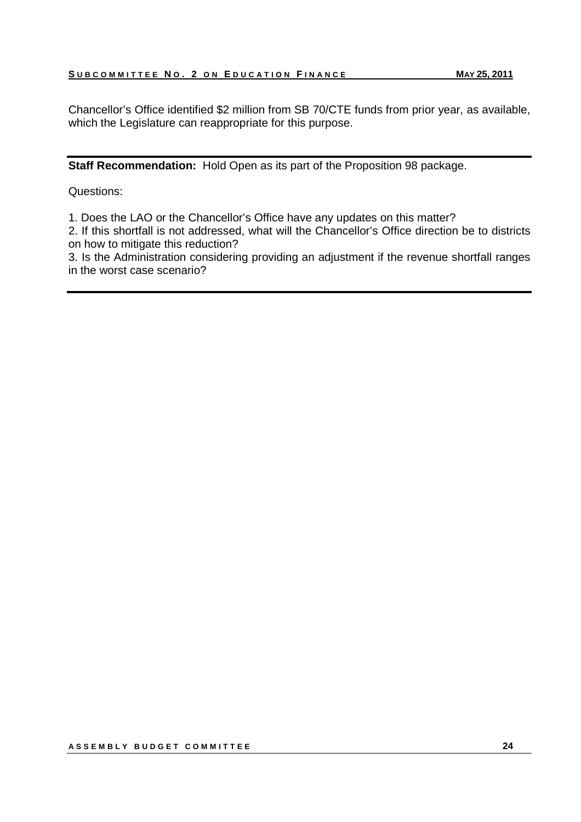Chancellor's Office identified \$2 million from SB 70/CTE funds from prior year, as available, which the Legislature can reappropriate for this purpose.

**Staff Recommendation:** Hold Open as its part of the Proposition 98 package.

Questions:

1. Does the LAO or the Chancellor's Office have any updates on this matter?

2. If this shortfall is not addressed, what will the Chancellor's Office direction be to districts on how to mitigate this reduction?

3. Is the Administration considering providing an adjustment if the revenue shortfall ranges in the worst case scenario?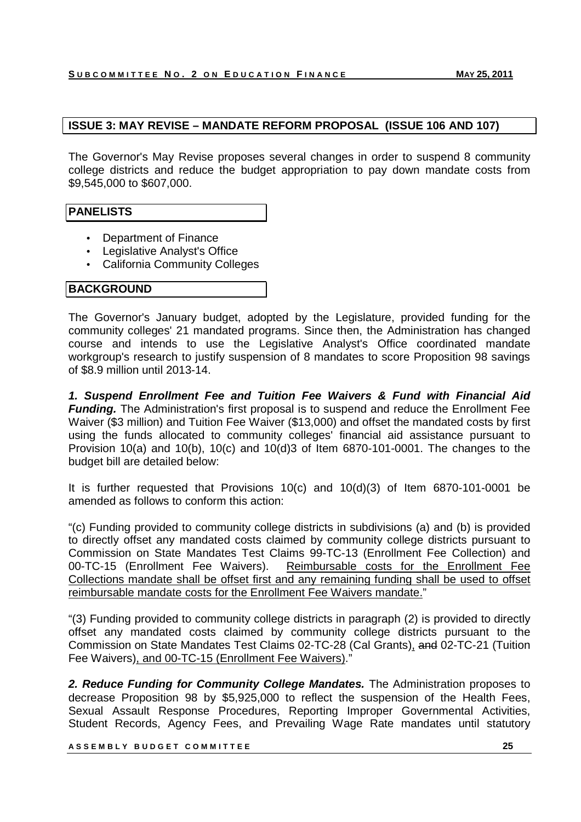#### **ISSUE 3: MAY REVISE – MANDATE REFORM PROPOSAL (ISSUE 106 AND 107)**

The Governor's May Revise proposes several changes in order to suspend 8 community college districts and reduce the budget appropriation to pay down mandate costs from \$9,545,000 to \$607,000.

#### **PANELISTS**

- Department of Finance
- Legislative Analyst's Office
- California Community Colleges

#### **BACKGROUND**

The Governor's January budget, adopted by the Legislature, provided funding for the community colleges' 21 mandated programs. Since then, the Administration has changed course and intends to use the Legislative Analyst's Office coordinated mandate workgroup's research to justify suspension of 8 mandates to score Proposition 98 savings of \$8.9 million until 2013-14.

**1. Suspend Enrollment Fee and Tuition Fee Waivers & Fund with Financial Aid Funding.** The Administration's first proposal is to suspend and reduce the Enrollment Fee Waiver (\$3 million) and Tuition Fee Waiver (\$13,000) and offset the mandated costs by first using the funds allocated to community colleges' financial aid assistance pursuant to Provision 10(a) and 10(b), 10(c) and 10(d)3 of Item 6870-101-0001. The changes to the budget bill are detailed below:

It is further requested that Provisions 10(c) and 10(d)(3) of Item 6870-101-0001 be amended as follows to conform this action:

"(c) Funding provided to community college districts in subdivisions (a) and (b) is provided to directly offset any mandated costs claimed by community college districts pursuant to Commission on State Mandates Test Claims 99-TC-13 (Enrollment Fee Collection) and 00-TC-15 (Enrollment Fee Waivers). Reimbursable costs for the Enrollment Fee Collections mandate shall be offset first and any remaining funding shall be used to offset reimbursable mandate costs for the Enrollment Fee Waivers mandate."

"(3) Funding provided to community college districts in paragraph (2) is provided to directly offset any mandated costs claimed by community college districts pursuant to the Commission on State Mandates Test Claims 02-TC-28 (Cal Grants), and 02-TC-21 (Tuition Fee Waivers), and 00-TC-15 (Enrollment Fee Waivers)."

**2. Reduce Funding for Community College Mandates.** The Administration proposes to decrease Proposition 98 by \$5,925,000 to reflect the suspension of the Health Fees, Sexual Assault Response Procedures, Reporting Improper Governmental Activities, Student Records, Agency Fees, and Prevailing Wage Rate mandates until statutory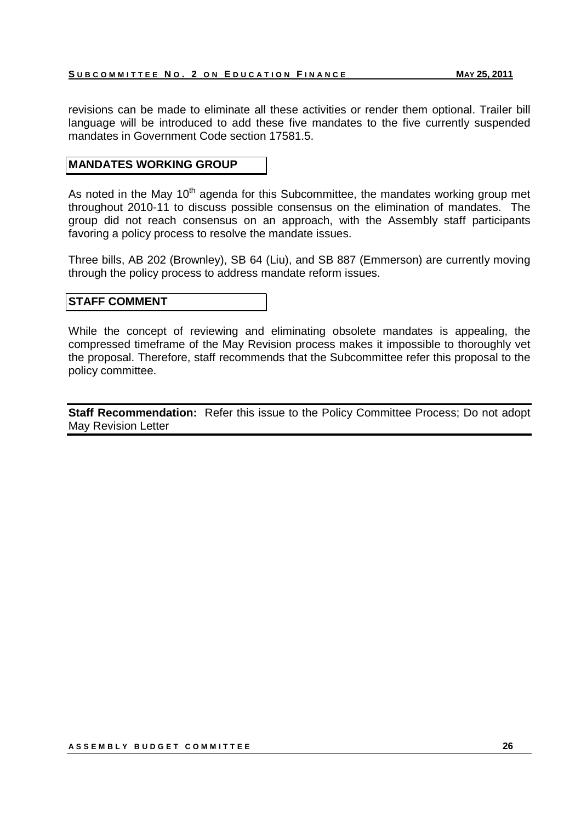revisions can be made to eliminate all these activities or render them optional. Trailer bill language will be introduced to add these five mandates to the five currently suspended mandates in Government Code section 17581.5.

#### **MANDATES WORKING GROUP**

As noted in the May  $10<sup>th</sup>$  agenda for this Subcommittee, the mandates working group met throughout 2010-11 to discuss possible consensus on the elimination of mandates. The group did not reach consensus on an approach, with the Assembly staff participants favoring a policy process to resolve the mandate issues.

Three bills, AB 202 (Brownley), SB 64 (Liu), and SB 887 (Emmerson) are currently moving through the policy process to address mandate reform issues.

#### **STAFF COMMENT**

While the concept of reviewing and eliminating obsolete mandates is appealing, the compressed timeframe of the May Revision process makes it impossible to thoroughly vet the proposal. Therefore, staff recommends that the Subcommittee refer this proposal to the policy committee.

**Staff Recommendation:** Refer this issue to the Policy Committee Process; Do not adopt May Revision Letter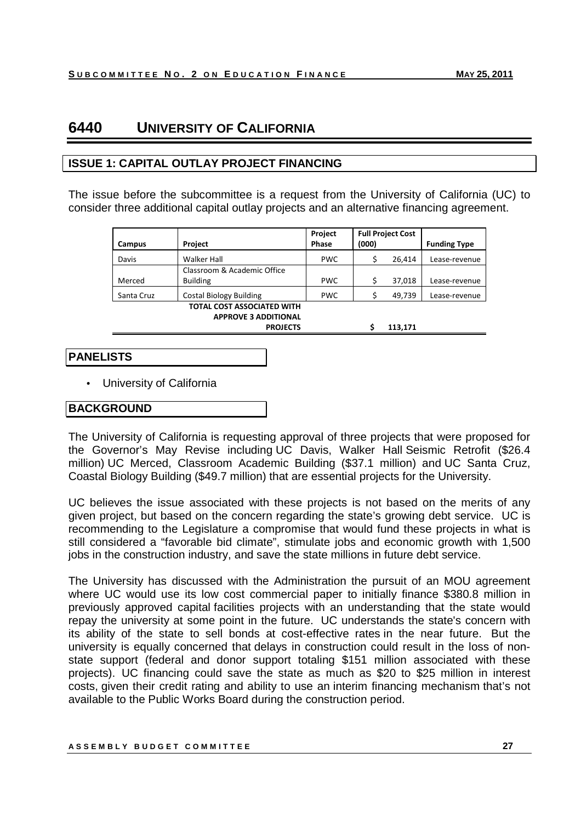## **6440 UNIVERSITY OF CALIFORNIA**

#### **ISSUE 1: CAPITAL OUTLAY PROJECT FINANCING**

The issue before the subcommittee is a request from the University of California (UC) to consider three additional capital outlay projects and an alternative financing agreement.

|            |                                   | Project    |       | <b>Full Project Cost</b> |                     |
|------------|-----------------------------------|------------|-------|--------------------------|---------------------|
| Campus     | Project                           | Phase      | (000) |                          | <b>Funding Type</b> |
| Davis      | <b>Walker Hall</b>                | <b>PWC</b> |       | 26,414                   | Lease-revenue       |
|            | Classroom & Academic Office       |            |       |                          |                     |
| Merced     | <b>Building</b>                   | <b>PWC</b> |       | 37,018                   | Lease-revenue       |
| Santa Cruz | <b>Costal Biology Building</b>    | <b>PWC</b> |       | 49,739                   | Lease-revenue       |
|            | <b>TOTAL COST ASSOCIATED WITH</b> |            |       |                          |                     |
|            | <b>APPROVE 3 ADDITIONAL</b>       |            |       |                          |                     |
|            | <b>PROJECTS</b>                   |            |       | 113,171                  |                     |
|            |                                   |            |       |                          |                     |

#### **PANELISTS**

• University of California

#### **BACKGROUND**

The University of California is requesting approval of three projects that were proposed for the Governor's May Revise including UC Davis, Walker Hall Seismic Retrofit (\$26.4 million) UC Merced, Classroom Academic Building (\$37.1 million) and UC Santa Cruz, Coastal Biology Building (\$49.7 million) that are essential projects for the University.

UC believes the issue associated with these projects is not based on the merits of any given project, but based on the concern regarding the state's growing debt service. UC is recommending to the Legislature a compromise that would fund these projects in what is still considered a "favorable bid climate", stimulate jobs and economic growth with 1,500 jobs in the construction industry, and save the state millions in future debt service.

The University has discussed with the Administration the pursuit of an MOU agreement where UC would use its low cost commercial paper to initially finance \$380.8 million in previously approved capital facilities projects with an understanding that the state would repay the university at some point in the future. UC understands the state's concern with its ability of the state to sell bonds at cost-effective rates in the near future. But the university is equally concerned that delays in construction could result in the loss of nonstate support (federal and donor support totaling \$151 million associated with these projects). UC financing could save the state as much as \$20 to \$25 million in interest costs, given their credit rating and ability to use an interim financing mechanism that's not available to the Public Works Board during the construction period.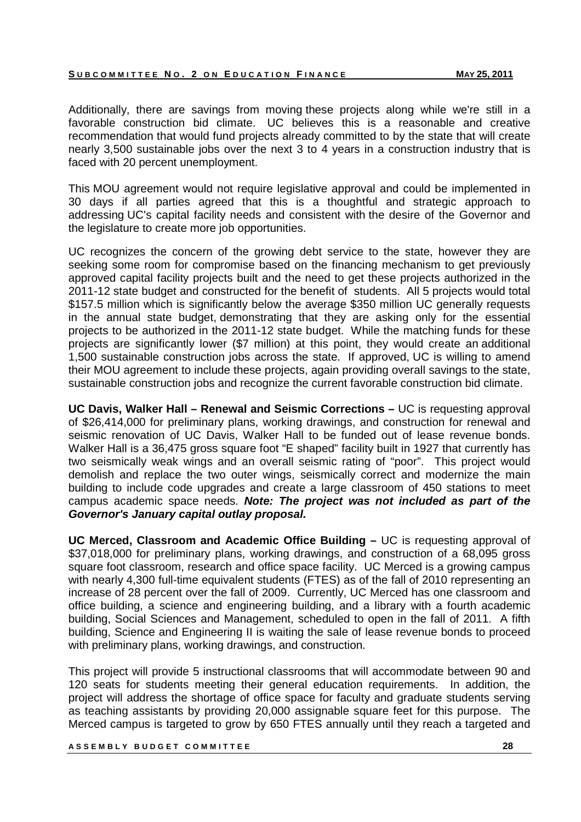Additionally, there are savings from moving these projects along while we're still in a favorable construction bid climate. UC believes this is a reasonable and creative recommendation that would fund projects already committed to by the state that will create nearly 3,500 sustainable jobs over the next 3 to 4 years in a construction industry that is faced with 20 percent unemployment.

This MOU agreement would not require legislative approval and could be implemented in 30 days if all parties agreed that this is a thoughtful and strategic approach to addressing UC's capital facility needs and consistent with the desire of the Governor and the legislature to create more job opportunities.

UC recognizes the concern of the growing debt service to the state, however they are seeking some room for compromise based on the financing mechanism to get previously approved capital facility projects built and the need to get these projects authorized in the 2011-12 state budget and constructed for the benefit of students. All 5 projects would total \$157.5 million which is significantly below the average \$350 million UC generally requests in the annual state budget, demonstrating that they are asking only for the essential projects to be authorized in the 2011-12 state budget. While the matching funds for these projects are significantly lower (\$7 million) at this point, they would create an additional 1,500 sustainable construction jobs across the state. If approved, UC is willing to amend their MOU agreement to include these projects, again providing overall savings to the state, sustainable construction jobs and recognize the current favorable construction bid climate.

**UC Davis, Walker Hall – Renewal and Seismic Corrections –** UC is requesting approval of \$26,414,000 for preliminary plans, working drawings, and construction for renewal and seismic renovation of UC Davis, Walker Hall to be funded out of lease revenue bonds. Walker Hall is a 36,475 gross square foot "E shaped" facility built in 1927 that currently has two seismically weak wings and an overall seismic rating of "poor". This project would demolish and replace the two outer wings, seismically correct and modernize the main building to include code upgrades and create a large classroom of 450 stations to meet campus academic space needs. **Note: The project was not included as part of the Governor's January capital outlay proposal.**

**UC Merced, Classroom and Academic Office Building –** UC is requesting approval of \$37,018,000 for preliminary plans, working drawings, and construction of a 68,095 gross square foot classroom, research and office space facility. UC Merced is a growing campus with nearly 4,300 full-time equivalent students (FTES) as of the fall of 2010 representing an increase of 28 percent over the fall of 2009. Currently, UC Merced has one classroom and office building, a science and engineering building, and a library with a fourth academic building, Social Sciences and Management, scheduled to open in the fall of 2011. A fifth building, Science and Engineering II is waiting the sale of lease revenue bonds to proceed with preliminary plans, working drawings, and construction.

This project will provide 5 instructional classrooms that will accommodate between 90 and 120 seats for students meeting their general education requirements. In addition, the project will address the shortage of office space for faculty and graduate students serving as teaching assistants by providing 20,000 assignable square feet for this purpose. The Merced campus is targeted to grow by 650 FTES annually until they reach a targeted and